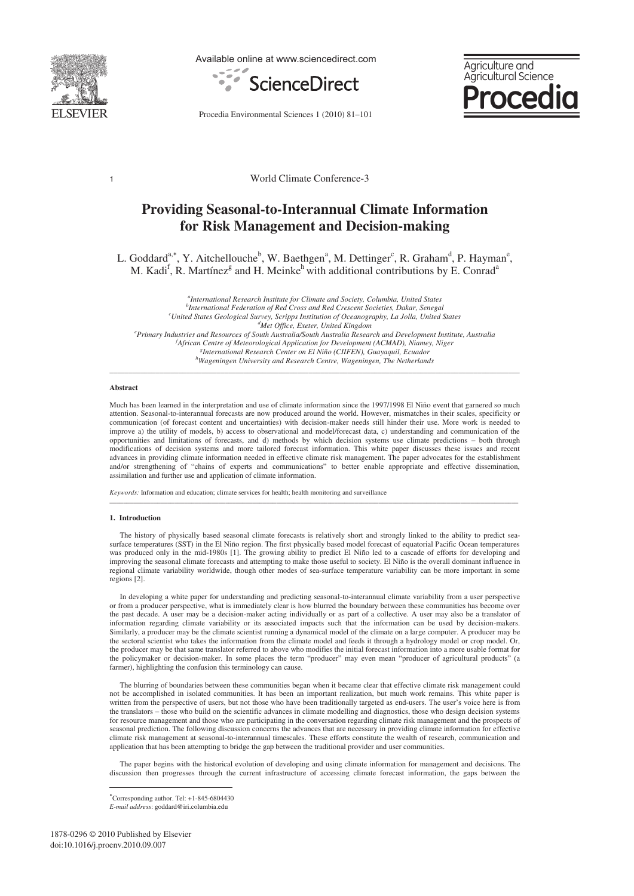

Available online at www.sciencedirect.com



Aariculture and Agricultural Science **ocedio** 

Procedia Environmental Sciences 1 (2010) 81–101

1 World Climate Conference-3

# **Providing Seasonal-to-Interannual Climate Information for Risk Management and Decision-making**

L. Goddard<sup>a,\*</sup>, Y. Aitchellouche<sup>b</sup>, W. Baethgen<sup>a</sup>, M. Dettinger<sup>c</sup>, R. Graham<sup>d</sup>, P. Hayman<sup>e</sup>, M. Kadi<sup>f</sup>, R. Martínez<sup>g</sup> and H. Meinke<sup>h</sup> with additional contributions by E. Conrad<sup>a</sup>

<sup>a</sup>International Research Institute for Climate and Society, Columbia, United States <sup>*a</sup>International Research Institute for Climate and Society, Columbia, United States b<br><sup>b</sup>International Eederation of Red Cross and Red Crescent Societies, Dakar, Senagal</sup> International Federation of Red Cross and Red Crescent Societies, Dakar, Senegal c United States Geological Survey, Scripps Institution of Oceanography, La Jolla, United States d Met Office, Exeter, United Kingdom e Primary Industries and Resources of South Australia/South Australia Research and Development Institute, Australia f* <sup>*f</sup>African Centre of Meteorological Application for Development (ACMAD), Niamey, Niger*</sup> *International Research Center on El Niño (CIIFEN), Guayaquil, Ecuador h Wageningen University and Research Centre, Wageningen, The Netherlands*

\_\_\_\_\_\_\_\_\_\_\_\_\_\_\_\_\_\_\_\_\_\_\_\_\_\_\_\_\_\_\_\_\_\_\_\_\_\_\_\_\_\_\_\_\_\_\_\_\_\_\_\_\_\_\_\_\_\_\_\_\_\_\_\_\_\_\_\_\_\_\_\_\_\_\_\_\_\_\_\_\_\_\_\_\_\_\_\_\_\_\_\_\_\_\_\_\_\_\_\_\_\_\_\_\_\_\_

#### **Abstract**

Much has been learned in the interpretation and use of climate information since the 1997/1998 El Niño event that garnered so much attention. Seasonal-to-interannual forecasts are now produced around the world. However, mismatches in their scales, specificity or communication (of forecast content and uncertainties) with decision-maker needs still hinder their use. More work is needed to improve a) the utility of models, b) access to observational and model/forecast data, c) understanding and communication of the opportunities and limitations of forecasts, and d) methods by which decision systems use climate predictions – both through modifications of decision systems and more tailored forecast information. This white paper discusses these issues and recent advances in providing climate information needed in effective climate risk management. The paper advocates for the establishment and/or strengthening of "chains of experts and communications" to better enable appropriate and effective dissemination, assimilation and further use and application of climate information.

*Keywords:* Information and education; climate services for health; health monitoring and surveillance

#### **1. Introduction**

The history of physically based seasonal climate forecasts is relatively short and strongly linked to the ability to predict seasurface temperatures (SST) in the El Niño region. The first physically based model forecast of equatorial Pacific Ocean temperatures was produced only in the mid-1980s [1]. The growing ability to predict El Niño led to a cascade of efforts for developing and improving the seasonal climate forecasts and attempting to make those useful to society. El Niño is the overall dominant influence in regional climate variability worldwide, though other modes of sea-surface temperature variability can be more important in some regions [2].

\_\_\_\_\_\_\_\_\_\_\_\_\_\_\_\_\_\_\_\_\_\_\_\_\_\_\_\_\_\_\_\_\_\_\_\_\_\_\_\_\_\_\_\_\_\_\_\_\_\_\_\_\_\_\_\_\_\_\_\_\_\_\_\_\_\_\_\_\_\_\_\_\_\_\_\_\_\_\_\_\_\_\_\_\_\_\_\_\_\_\_\_\_\_\_\_\_\_\_\_\_\_\_\_\_\_\_\_\_\_\_\_\_\_\_\_\_\_\_\_

In developing a white paper for understanding and predicting seasonal-to-interannual climate variability from a user perspective or from a producer perspective, what is immediately clear is how blurred the boundary between these communities has become over the past decade. A user may be a decision-maker acting individually or as part of a collective. A user may also be a translator of information regarding climate variability or its associated impacts such that the information can be used by decision-makers. Similarly, a producer may be the climate scientist running a dynamical model of the climate on a large computer. A producer may be the sectoral scientist who takes the information from the climate model and feeds it through a hydrology model or crop model. Or, the producer may be that same translator referred to above who modifies the initial forecast information into a more usable format for the policymaker or decision-maker. In some places the term "producer" may even mean "producer of agricultural products" (a farmer), highlighting the confusion this terminology can cause.

The blurring of boundaries between these communities began when it became clear that effective climate risk management could not be accomplished in isolated communities. It has been an important realization, but much work remains. This white paper is written from the perspective of users, but not those who have been traditionally targeted as end-users. The user's voice here is from the translators – those who build on the scientific advances in climate modelling and diagnostics, those who design decision systems for resource management and those who are participating in the conversation regarding climate risk management and the prospects of seasonal prediction. The following discussion concerns the advances that are necessary in providing climate information for effective climate risk management at seasonal-to-interannual timescales. These efforts constitute the wealth of research, communication and application that has been attempting to bridge the gap between the traditional provider and user communities.

The paper begins with the historical evolution of developing and using climate information for management and decisions. The discussion then progresses through the current infrastructure of accessing climate forecast information, the gaps between the

 Corresponding author. Tel: +1-845-6804430 *E-mail address*: goddard@iri.columbia.edu

 $\overline{a}$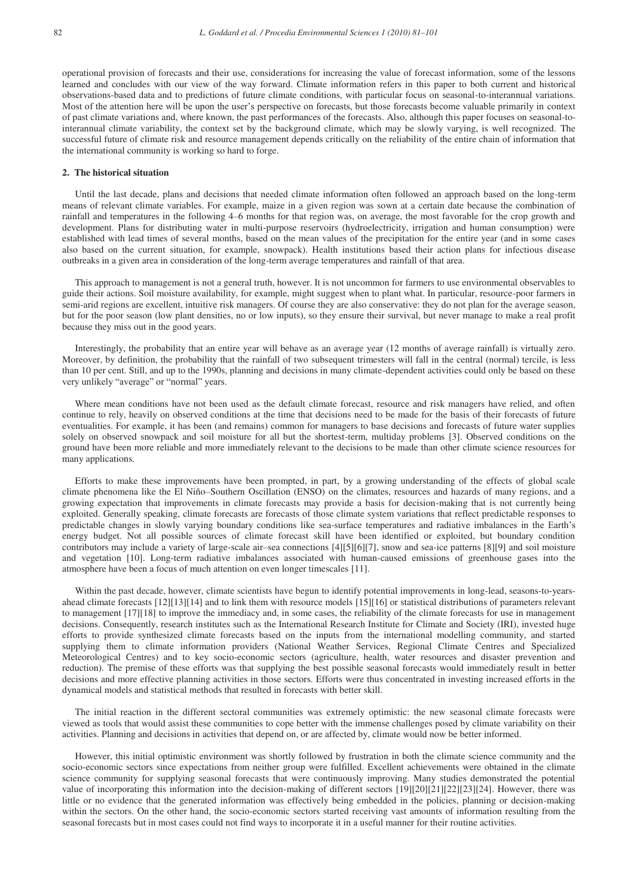operational provision of forecasts and their use, considerations for increasing the value of forecast information, some of the lessons learned and concludes with our view of the way forward. Climate information refers in this paper to both current and historical observations-based data and to predictions of future climate conditions, with particular focus on seasonal-to-interannual variations. Most of the attention here will be upon the user's perspective on forecasts, but those forecasts become valuable primarily in context of past climate variations and, where known, the past performances of the forecasts. Also, although this paper focuses on seasonal-tointerannual climate variability, the context set by the background climate, which may be slowly varying, is well recognized. The successful future of climate risk and resource management depends critically on the reliability of the entire chain of information that the international community is working so hard to forge.

# **2. The historical situation**

Until the last decade, plans and decisions that needed climate information often followed an approach based on the long-term means of relevant climate variables. For example, maize in a given region was sown at a certain date because the combination of rainfall and temperatures in the following 4–6 months for that region was, on average, the most favorable for the crop growth and development. Plans for distributing water in multi-purpose reservoirs (hydroelectricity, irrigation and human consumption) were established with lead times of several months, based on the mean values of the precipitation for the entire year (and in some cases also based on the current situation, for example, snowpack). Health institutions based their action plans for infectious disease outbreaks in a given area in consideration of the long-term average temperatures and rainfall of that area.

This approach to management is not a general truth, however. It is not uncommon for farmers to use environmental observables to guide their actions. Soil moisture availability, for example, might suggest when to plant what. In particular, resource-poor farmers in semi-arid regions are excellent, intuitive risk managers. Of course they are also conservative: they do not plan for the average season, but for the poor season (low plant densities, no or low inputs), so they ensure their survival, but never manage to make a real profit because they miss out in the good years.

Interestingly, the probability that an entire year will behave as an average year (12 months of average rainfall) is virtually zero. Moreover, by definition, the probability that the rainfall of two subsequent trimesters will fall in the central (normal) tercile, is less than 10 per cent. Still, and up to the 1990s, planning and decisions in many climate-dependent activities could only be based on these very unlikely "average" or "normal" years.

Where mean conditions have not been used as the default climate forecast, resource and risk managers have relied, and often continue to rely, heavily on observed conditions at the time that decisions need to be made for the basis of their forecasts of future eventualities. For example, it has been (and remains) common for managers to base decisions and forecasts of future water supplies solely on observed snowpack and soil moisture for all but the shortest-term, multiday problems [3]. Observed conditions on the ground have been more reliable and more immediately relevant to the decisions to be made than other climate science resources for many applications.

Efforts to make these improvements have been prompted, in part, by a growing understanding of the effects of global scale climate phenomena like the El Niño–Southern Oscillation (ENSO) on the climates, resources and hazards of many regions, and a growing expectation that improvements in climate forecasts may provide a basis for decision-making that is not currently being exploited. Generally speaking, climate forecasts are forecasts of those climate system variations that reflect predictable responses to predictable changes in slowly varying boundary conditions like sea-surface temperatures and radiative imbalances in the Earth's energy budget. Not all possible sources of climate forecast skill have been identified or exploited, but boundary condition contributors may include a variety of large-scale air–sea connections [4][5][6][7], snow and sea-ice patterns [8][9] and soil moisture and vegetation [10]. Long-term radiative imbalances associated with human-caused emissions of greenhouse gases into the atmosphere have been a focus of much attention on even longer timescales [11].

Within the past decade, however, climate scientists have begun to identify potential improvements in long-lead, seasons-to-yearsahead climate forecasts [12][13][14] and to link them with resource models [15][16] or statistical distributions of parameters relevant to management [17][18] to improve the immediacy and, in some cases, the reliability of the climate forecasts for use in management decisions. Consequently, research institutes such as the International Research Institute for Climate and Society (IRI), invested huge efforts to provide synthesized climate forecasts based on the inputs from the international modelling community, and started supplying them to climate information providers (National Weather Services, Regional Climate Centres and Specialized Meteorological Centres) and to key socio-economic sectors (agriculture, health, water resources and disaster prevention and reduction). The premise of these efforts was that supplying the best possible seasonal forecasts would immediately result in better decisions and more effective planning activities in those sectors. Efforts were thus concentrated in investing increased efforts in the dynamical models and statistical methods that resulted in forecasts with better skill.

The initial reaction in the different sectoral communities was extremely optimistic: the new seasonal climate forecasts were viewed as tools that would assist these communities to cope better with the immense challenges posed by climate variability on their activities. Planning and decisions in activities that depend on, or are affected by, climate would now be better informed.

However, this initial optimistic environment was shortly followed by frustration in both the climate science community and the socio-economic sectors since expectations from neither group were fulfilled. Excellent achievements were obtained in the climate science community for supplying seasonal forecasts that were continuously improving. Many studies demonstrated the potential value of incorporating this information into the decision-making of different sectors [19][20][21][22][23][24]. However, there was little or no evidence that the generated information was effectively being embedded in the policies, planning or decision-making within the sectors. On the other hand, the socio-economic sectors started receiving vast amounts of information resulting from the seasonal forecasts but in most cases could not find ways to incorporate it in a useful manner for their routine activities.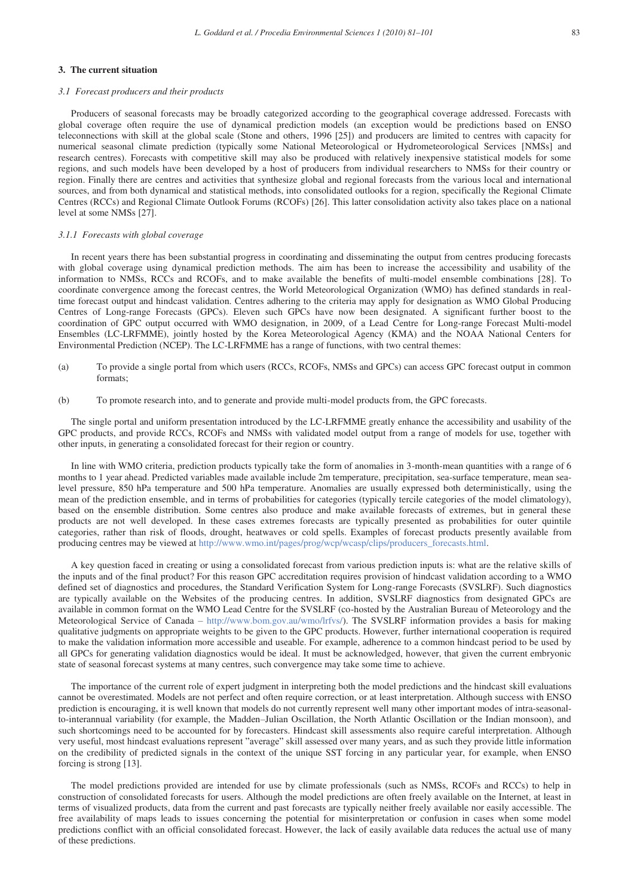# **3. The current situation**

# *3.1 Forecast producers and their products*

Producers of seasonal forecasts may be broadly categorized according to the geographical coverage addressed. Forecasts with global coverage often require the use of dynamical prediction models (an exception would be predictions based on ENSO teleconnections with skill at the global scale (Stone and others, 1996 [25]) and producers are limited to centres with capacity for numerical seasonal climate prediction (typically some National Meteorological or Hydrometeorological Services [NMSs] and research centres). Forecasts with competitive skill may also be produced with relatively inexpensive statistical models for some regions, and such models have been developed by a host of producers from individual researchers to NMSs for their country or region. Finally there are centres and activities that synthesize global and regional forecasts from the various local and international sources, and from both dynamical and statistical methods, into consolidated outlooks for a region, specifically the Regional Climate Centres (RCCs) and Regional Climate Outlook Forums (RCOFs) [26]. This latter consolidation activity also takes place on a national level at some NMSs [27].

#### *3.1.1 Forecasts with global coverage*

In recent years there has been substantial progress in coordinating and disseminating the output from centres producing forecasts with global coverage using dynamical prediction methods. The aim has been to increase the accessibility and usability of the information to NMSs, RCCs and RCOFs, and to make available the benefits of multi-model ensemble combinations [28]. To coordinate convergence among the forecast centres, the World Meteorological Organization (WMO) has defined standards in realtime forecast output and hindcast validation. Centres adhering to the criteria may apply for designation as WMO Global Producing Centres of Long-range Forecasts (GPCs). Eleven such GPCs have now been designated. A significant further boost to the coordination of GPC output occurred with WMO designation, in 2009, of a Lead Centre for Long-range Forecast Multi-model Ensembles (LC-LRFMME), jointly hosted by the Korea Meteorological Agency (KMA) and the NOAA National Centers for Environmental Prediction (NCEP). The LC-LRFMME has a range of functions, with two central themes:

- (a) To provide a single portal from which users (RCCs, RCOFs, NMSs and GPCs) can access GPC forecast output in common formats;
- (b) To promote research into, and to generate and provide multi-model products from, the GPC forecasts.

The single portal and uniform presentation introduced by the LC-LRFMME greatly enhance the accessibility and usability of the GPC products, and provide RCCs, RCOFs and NMSs with validated model output from a range of models for use, together with other inputs, in generating a consolidated forecast for their region or country.

In line with WMO criteria, prediction products typically take the form of anomalies in 3-month-mean quantities with a range of 6 months to 1 year ahead. Predicted variables made available include 2m temperature, precipitation, sea-surface temperature, mean sealevel pressure, 850 hPa temperature and 500 hPa temperature. Anomalies are usually expressed both deterministically, using the mean of the prediction ensemble, and in terms of probabilities for categories (typically tercile categories of the model climatology), based on the ensemble distribution. Some centres also produce and make available forecasts of extremes, but in general these products are not well developed. In these cases extremes forecasts are typically presented as probabilities for outer quintile categories, rather than risk of floods, drought, heatwaves or cold spells. Examples of forecast products presently available from producing centres may be viewed at http://www.wmo.int/pages/prog/wcp/wcasp/clips/producers\_forecasts.html.

A key question faced in creating or using a consolidated forecast from various prediction inputs is: what are the relative skills of the inputs and of the final product? For this reason GPC accreditation requires provision of hindcast validation according to a WMO defined set of diagnostics and procedures, the Standard Verification System for Long-range Forecasts (SVSLRF). Such diagnostics are typically available on the Websites of the producing centres. In addition, SVSLRF diagnostics from designated GPCs are available in common format on the WMO Lead Centre for the SVSLRF (co-hosted by the Australian Bureau of Meteorology and the Meteorological Service of Canada – http://www.bom.gov.au/wmo/lrfvs/). The SVSLRF information provides a basis for making qualitative judgments on appropriate weights to be given to the GPC products. However, further international cooperation is required to make the validation information more accessible and useable. For example, adherence to a common hindcast period to be used by all GPCs for generating validation diagnostics would be ideal. It must be acknowledged, however, that given the current embryonic state of seasonal forecast systems at many centres, such convergence may take some time to achieve.

The importance of the current role of expert judgment in interpreting both the model predictions and the hindcast skill evaluations cannot be overestimated. Models are not perfect and often require correction, or at least interpretation. Although success with ENSO prediction is encouraging, it is well known that models do not currently represent well many other important modes of intra-seasonalto-interannual variability (for example, the Madden–Julian Oscillation, the North Atlantic Oscillation or the Indian monsoon), and such shortcomings need to be accounted for by forecasters. Hindcast skill assessments also require careful interpretation. Although very useful, most hindcast evaluations represent "average" skill assessed over many years, and as such they provide little information on the credibility of predicted signals in the context of the unique SST forcing in any particular year, for example, when ENSO forcing is strong [13].

The model predictions provided are intended for use by climate professionals (such as NMSs, RCOFs and RCCs) to help in construction of consolidated forecasts for users. Although the model predictions are often freely available on the Internet, at least in terms of visualized products, data from the current and past forecasts are typically neither freely available nor easily accessible. The free availability of maps leads to issues concerning the potential for misinterpretation or confusion in cases when some model predictions conflict with an official consolidated forecast. However, the lack of easily available data reduces the actual use of many of these predictions.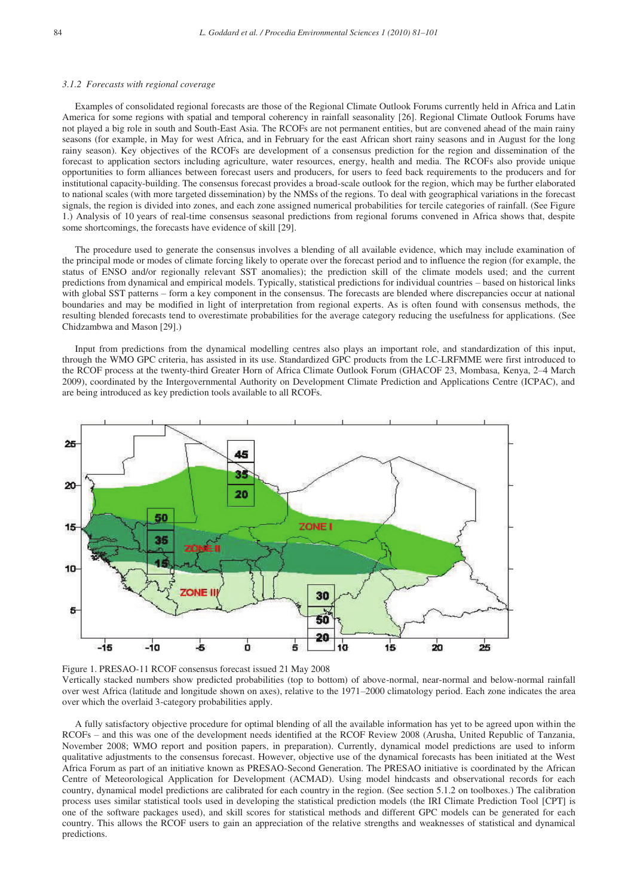#### *3.1.2 Forecasts with regional coverage*

Examples of consolidated regional forecasts are those of the Regional Climate Outlook Forums currently held in Africa and Latin America for some regions with spatial and temporal coherency in rainfall seasonality [26]. Regional Climate Outlook Forums have not played a big role in south and South-East Asia. The RCOFs are not permanent entities, but are convened ahead of the main rainy seasons (for example, in May for west Africa, and in February for the east African short rainy seasons and in August for the long rainy season). Key objectives of the RCOFs are development of a consensus prediction for the region and dissemination of the forecast to application sectors including agriculture, water resources, energy, health and media. The RCOFs also provide unique opportunities to form alliances between forecast users and producers, for users to feed back requirements to the producers and for institutional capacity-building. The consensus forecast provides a broad-scale outlook for the region, which may be further elaborated to national scales (with more targeted dissemination) by the NMSs of the regions. To deal with geographical variations in the forecast signals, the region is divided into zones, and each zone assigned numerical probabilities for tercile categories of rainfall. (See Figure 1.) Analysis of 10 years of real-time consensus seasonal predictions from regional forums convened in Africa shows that, despite some shortcomings, the forecasts have evidence of skill [29].

The procedure used to generate the consensus involves a blending of all available evidence, which may include examination of the principal mode or modes of climate forcing likely to operate over the forecast period and to influence the region (for example, the status of ENSO and/or regionally relevant SST anomalies); the prediction skill of the climate models used; and the current predictions from dynamical and empirical models. Typically, statistical predictions for individual countries – based on historical links with global SST patterns – form a key component in the consensus. The forecasts are blended where discrepancies occur at national boundaries and may be modified in light of interpretation from regional experts. As is often found with consensus methods, the resulting blended forecasts tend to overestimate probabilities for the average category reducing the usefulness for applications. (See Chidzambwa and Mason [29].)

Input from predictions from the dynamical modelling centres also plays an important role, and standardization of this input, through the WMO GPC criteria, has assisted in its use. Standardized GPC products from the LC-LRFMME were first introduced to the RCOF process at the twenty-third Greater Horn of Africa Climate Outlook Forum (GHACOF 23, Mombasa, Kenya, 2–4 March 2009), coordinated by the Intergovernmental Authority on Development Climate Prediction and Applications Centre (ICPAC), and are being introduced as key prediction tools available to all RCOFs.



Figure 1. PRESAO-11 RCOF consensus forecast issued 21 May 2008 Vertically stacked numbers show predicted probabilities (top to bottom) of above-normal, near-normal and below-normal rainfall over west Africa (latitude and longitude shown on axes), relative to the 1971–2000 climatology period. Each zone indicates the area over which the overlaid 3-category probabilities apply.

A fully satisfactory objective procedure for optimal blending of all the available information has yet to be agreed upon within the RCOFs – and this was one of the development needs identified at the RCOF Review 2008 (Arusha, United Republic of Tanzania, November 2008; WMO report and position papers, in preparation). Currently, dynamical model predictions are used to inform qualitative adjustments to the consensus forecast. However, objective use of the dynamical forecasts has been initiated at the West Africa Forum as part of an initiative known as PRESAO-Second Generation. The PRESAO initiative is coordinated by the African Centre of Meteorological Application for Development (ACMAD). Using model hindcasts and observational records for each country, dynamical model predictions are calibrated for each country in the region. (See section 5.1.2 on toolboxes.) The calibration process uses similar statistical tools used in developing the statistical prediction models (the IRI Climate Prediction Tool [CPT] is one of the software packages used), and skill scores for statistical methods and different GPC models can be generated for each country. This allows the RCOF users to gain an appreciation of the relative strengths and weaknesses of statistical and dynamical predictions.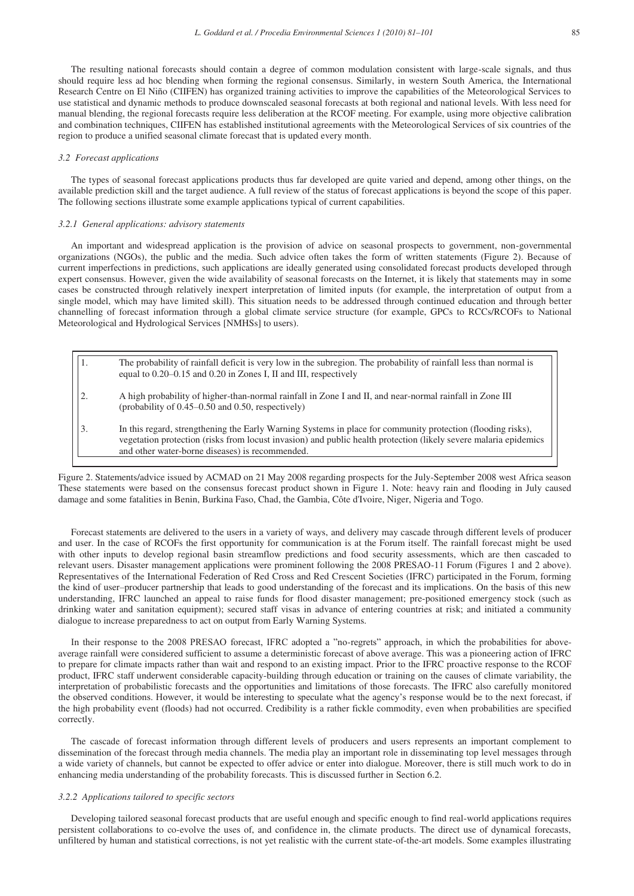The resulting national forecasts should contain a degree of common modulation consistent with large-scale signals, and thus should require less ad hoc blending when forming the regional consensus. Similarly, in western South America, the International Research Centre on El Niño (CIIFEN) has organized training activities to improve the capabilities of the Meteorological Services to use statistical and dynamic methods to produce downscaled seasonal forecasts at both regional and national levels. With less need for manual blending, the regional forecasts require less deliberation at the RCOF meeting. For example, using more objective calibration and combination techniques, CIIFEN has established institutional agreements with the Meteorological Services of six countries of the region to produce a unified seasonal climate forecast that is updated every month.

# *3.2 Forecast applications*

The types of seasonal forecast applications products thus far developed are quite varied and depend, among other things, on the available prediction skill and the target audience. A full review of the status of forecast applications is beyond the scope of this paper. The following sections illustrate some example applications typical of current capabilities.

### *3.2.1 General applications: advisory statements*

An important and widespread application is the provision of advice on seasonal prospects to government, non-governmental organizations (NGOs), the public and the media. Such advice often takes the form of written statements (Figure 2). Because of current imperfections in predictions, such applications are ideally generated using consolidated forecast products developed through expert consensus. However, given the wide availability of seasonal forecasts on the Internet, it is likely that statements may in some cases be constructed through relatively inexpert interpretation of limited inputs (for example, the interpretation of output from a single model, which may have limited skill). This situation needs to be addressed through continued education and through better channelling of forecast information through a global climate service structure (for example, GPCs to RCCs/RCOFs to National Meteorological and Hydrological Services [NMHSs] to users).

|    | The probability of rainfall deficit is very low in the subregion. The probability of rainfall less than normal is<br>equal to 0.20–0.15 and 0.20 in Zones I, II and III, respectively                                                                                              |
|----|------------------------------------------------------------------------------------------------------------------------------------------------------------------------------------------------------------------------------------------------------------------------------------|
|    | A high probability of higher-than-normal rainfall in Zone I and II, and near-normal rainfall in Zone III<br>(probability of $0.45-0.50$ and $0.50$ , respectively)                                                                                                                 |
| 3. | In this regard, strengthening the Early Warning Systems in place for community protection (flooding risks),<br>vegetation protection (risks from locust invasion) and public health protection (likely severe malaria epidemics<br>and other water-borne diseases) is recommended. |

Figure 2. Statements/advice issued by ACMAD on 21 May 2008 regarding prospects for the July-September 2008 west Africa season These statements were based on the consensus forecast product shown in Figure 1. Note: heavy rain and flooding in July caused damage and some fatalities in Benin, Burkina Faso, Chad, the Gambia, Côte d'Ivoire, Niger, Nigeria and Togo.

Forecast statements are delivered to the users in a variety of ways, and delivery may cascade through different levels of producer and user. In the case of RCOFs the first opportunity for communication is at the Forum itself. The rainfall forecast might be used with other inputs to develop regional basin streamflow predictions and food security assessments, which are then cascaded to relevant users. Disaster management applications were prominent following the 2008 PRESAO-11 Forum (Figures 1 and 2 above). Representatives of the International Federation of Red Cross and Red Crescent Societies (IFRC) participated in the Forum, forming the kind of user–producer partnership that leads to good understanding of the forecast and its implications. On the basis of this new understanding, IFRC launched an appeal to raise funds for flood disaster management; pre-positioned emergency stock (such as drinking water and sanitation equipment); secured staff visas in advance of entering countries at risk; and initiated a community dialogue to increase preparedness to act on output from Early Warning Systems.

In their response to the 2008 PRESAO forecast, IFRC adopted a "no-regrets" approach, in which the probabilities for aboveaverage rainfall were considered sufficient to assume a deterministic forecast of above average. This was a pioneering action of IFRC to prepare for climate impacts rather than wait and respond to an existing impact. Prior to the IFRC proactive response to the RCOF product, IFRC staff underwent considerable capacity-building through education or training on the causes of climate variability, the interpretation of probabilistic forecasts and the opportunities and limitations of those forecasts. The IFRC also carefully monitored the observed conditions. However, it would be interesting to speculate what the agency's response would be to the next forecast, if the high probability event (floods) had not occurred. Credibility is a rather fickle commodity, even when probabilities are specified correctly.

The cascade of forecast information through different levels of producers and users represents an important complement to dissemination of the forecast through media channels. The media play an important role in disseminating top level messages through a wide variety of channels, but cannot be expected to offer advice or enter into dialogue. Moreover, there is still much work to do in enhancing media understanding of the probability forecasts. This is discussed further in Section 6.2.

# *3.2.2 Applications tailored to specific sectors*

Developing tailored seasonal forecast products that are useful enough and specific enough to find real-world applications requires persistent collaborations to co-evolve the uses of, and confidence in, the climate products. The direct use of dynamical forecasts, unfiltered by human and statistical corrections, is not yet realistic with the current state-of-the-art models. Some examples illustrating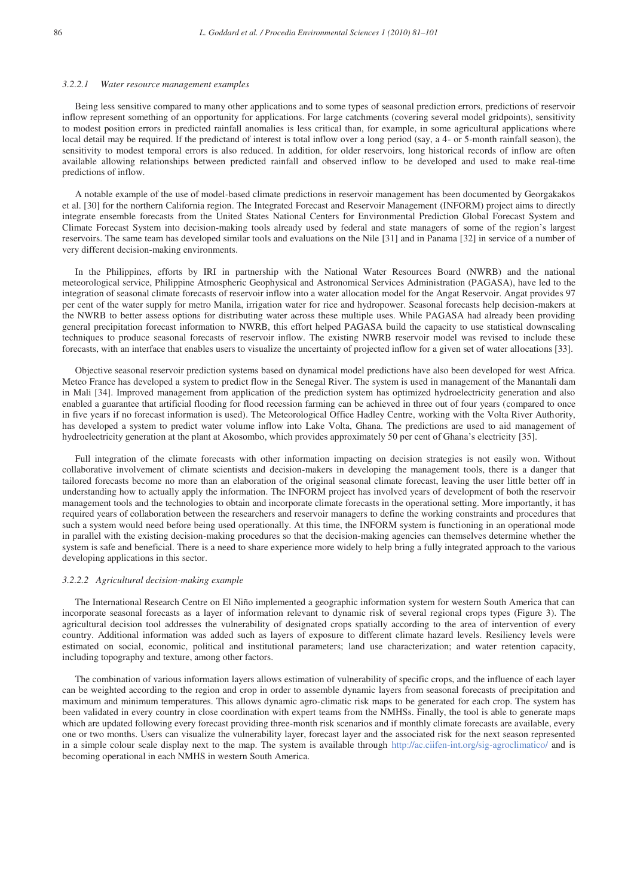#### *3.2.2.1 Water resource management examples*

Being less sensitive compared to many other applications and to some types of seasonal prediction errors, predictions of reservoir inflow represent something of an opportunity for applications. For large catchments (covering several model gridpoints), sensitivity to modest position errors in predicted rainfall anomalies is less critical than, for example, in some agricultural applications where local detail may be required. If the predictand of interest is total inflow over a long period (say, a 4- or 5-month rainfall season), the sensitivity to modest temporal errors is also reduced. In addition, for older reservoirs, long historical records of inflow are often available allowing relationships between predicted rainfall and observed inflow to be developed and used to make real-time predictions of inflow.

A notable example of the use of model-based climate predictions in reservoir management has been documented by Georgakakos et al. [30] for the northern California region. The Integrated Forecast and Reservoir Management (INFORM) project aims to directly integrate ensemble forecasts from the United States National Centers for Environmental Prediction Global Forecast System and Climate Forecast System into decision-making tools already used by federal and state managers of some of the region's largest reservoirs. The same team has developed similar tools and evaluations on the Nile [31] and in Panama [32] in service of a number of very different decision-making environments.

In the Philippines, efforts by IRI in partnership with the National Water Resources Board (NWRB) and the national meteorological service, Philippine Atmospheric Geophysical and Astronomical Services Administration (PAGASA), have led to the integration of seasonal climate forecasts of reservoir inflow into a water allocation model for the Angat Reservoir. Angat provides 97 per cent of the water supply for metro Manila, irrigation water for rice and hydropower. Seasonal forecasts help decision-makers at the NWRB to better assess options for distributing water across these multiple uses. While PAGASA had already been providing general precipitation forecast information to NWRB, this effort helped PAGASA build the capacity to use statistical downscaling techniques to produce seasonal forecasts of reservoir inflow. The existing NWRB reservoir model was revised to include these forecasts, with an interface that enables users to visualize the uncertainty of projected inflow for a given set of water allocations [33].

Objective seasonal reservoir prediction systems based on dynamical model predictions have also been developed for west Africa. Meteo France has developed a system to predict flow in the Senegal River. The system is used in management of the Manantali dam in Mali [34]. Improved management from application of the prediction system has optimized hydroelectricity generation and also enabled a guarantee that artificial flooding for flood recession farming can be achieved in three out of four years (compared to once in five years if no forecast information is used). The Meteorological Office Hadley Centre, working with the Volta River Authority, has developed a system to predict water volume inflow into Lake Volta, Ghana. The predictions are used to aid management of hydroelectricity generation at the plant at Akosombo, which provides approximately 50 per cent of Ghana's electricity [35].

Full integration of the climate forecasts with other information impacting on decision strategies is not easily won. Without collaborative involvement of climate scientists and decision-makers in developing the management tools, there is a danger that tailored forecasts become no more than an elaboration of the original seasonal climate forecast, leaving the user little better off in understanding how to actually apply the information. The INFORM project has involved years of development of both the reservoir management tools and the technologies to obtain and incorporate climate forecasts in the operational setting. More importantly, it has required years of collaboration between the researchers and reservoir managers to define the working constraints and procedures that such a system would need before being used operationally. At this time, the INFORM system is functioning in an operational mode in parallel with the existing decision-making procedures so that the decision-making agencies can themselves determine whether the system is safe and beneficial. There is a need to share experience more widely to help bring a fully integrated approach to the various developing applications in this sector.

# *3.2.2.2 Agricultural decision-making example*

The International Research Centre on El Niño implemented a geographic information system for western South America that can incorporate seasonal forecasts as a layer of information relevant to dynamic risk of several regional crops types (Figure 3). The agricultural decision tool addresses the vulnerability of designated crops spatially according to the area of intervention of every country. Additional information was added such as layers of exposure to different climate hazard levels. Resiliency levels were estimated on social, economic, political and institutional parameters; land use characterization; and water retention capacity, including topography and texture, among other factors.

The combination of various information layers allows estimation of vulnerability of specific crops, and the influence of each layer can be weighted according to the region and crop in order to assemble dynamic layers from seasonal forecasts of precipitation and maximum and minimum temperatures. This allows dynamic agro-climatic risk maps to be generated for each crop. The system has been validated in every country in close coordination with expert teams from the NMHSs. Finally, the tool is able to generate maps which are updated following every forecast providing three-month risk scenarios and if monthly climate forecasts are available, every one or two months. Users can visualize the vulnerability layer, forecast layer and the associated risk for the next season represented in a simple colour scale display next to the map. The system is available through http://ac.ciifen-int.org/sig-agroclimatico/ and is becoming operational in each NMHS in western South America.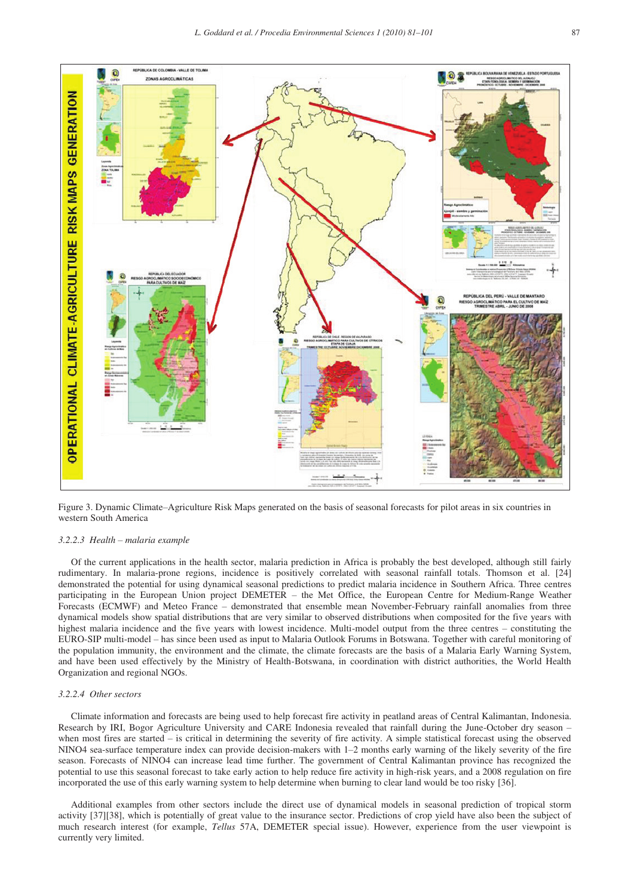

Figure 3. Dynamic Climate–Agriculture Risk Maps generated on the basis of seasonal forecasts for pilot areas in six countries in western South America

# *3.2.2.3 Health – malaria example*

Of the current applications in the health sector, malaria prediction in Africa is probably the best developed, although still fairly rudimentary. In malaria-prone regions, incidence is positively correlated with seasonal rainfall totals. Thomson et al. [24] demonstrated the potential for using dynamical seasonal predictions to predict malaria incidence in Southern Africa. Three centres participating in the European Union project DEMETER – the Met Office, the European Centre for Medium-Range Weather Forecasts (ECMWF) and Meteo France – demonstrated that ensemble mean November-February rainfall anomalies from three dynamical models show spatial distributions that are very similar to observed distributions when composited for the five years with highest malaria incidence and the five years with lowest incidence. Multi-model output from the three centres – constituting the EURO-SIP multi-model – has since been used as input to Malaria Outlook Forums in Botswana. Together with careful monitoring of the population immunity, the environment and the climate, the climate forecasts are the basis of a Malaria Early Warning System, and have been used effectively by the Ministry of Health-Botswana, in coordination with district authorities, the World Health Organization and regional NGOs.

# *3.2.2.4 Other sectors*

Climate information and forecasts are being used to help forecast fire activity in peatland areas of Central Kalimantan, Indonesia. Research by IRI, Bogor Agriculture University and CARE Indonesia revealed that rainfall during the June-October dry season – when most fires are started – is critical in determining the severity of fire activity. A simple statistical forecast using the observed NINO4 sea-surface temperature index can provide decision-makers with 1–2 months early warning of the likely severity of the fire season. Forecasts of NINO4 can increase lead time further. The government of Central Kalimantan province has recognized the potential to use this seasonal forecast to take early action to help reduce fire activity in high-risk years, and a 2008 regulation on fire incorporated the use of this early warning system to help determine when burning to clear land would be too risky [36].

Additional examples from other sectors include the direct use of dynamical models in seasonal prediction of tropical storm activity [37][38], which is potentially of great value to the insurance sector. Predictions of crop yield have also been the subject of much research interest (for example, *Tellus* 57A, DEMETER special issue). However, experience from the user viewpoint is currently very limited.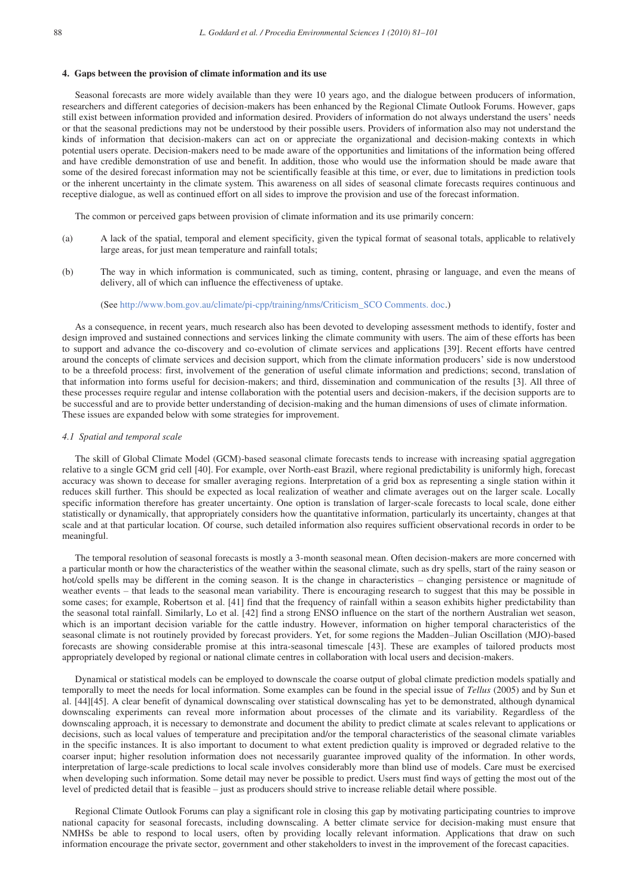#### **4. Gaps between the provision of climate information and its use**

Seasonal forecasts are more widely available than they were 10 years ago, and the dialogue between producers of information, researchers and different categories of decision-makers has been enhanced by the Regional Climate Outlook Forums. However, gaps still exist between information provided and information desired. Providers of information do not always understand the users' needs or that the seasonal predictions may not be understood by their possible users. Providers of information also may not understand the kinds of information that decision-makers can act on or appreciate the organizational and decision-making contexts in which potential users operate. Decision-makers need to be made aware of the opportunities and limitations of the information being offered and have credible demonstration of use and benefit. In addition, those who would use the information should be made aware that some of the desired forecast information may not be scientifically feasible at this time, or ever, due to limitations in prediction tools or the inherent uncertainty in the climate system. This awareness on all sides of seasonal climate forecasts requires continuous and receptive dialogue, as well as continued effort on all sides to improve the provision and use of the forecast information.

The common or perceived gaps between provision of climate information and its use primarily concern:

- (a) A lack of the spatial, temporal and element specificity, given the typical format of seasonal totals, applicable to relatively large areas, for just mean temperature and rainfall totals;
- (b) The way in which information is communicated, such as timing, content, phrasing or language, and even the means of delivery, all of which can influence the effectiveness of uptake.

# (See http://www.bom.gov.au/climate/pi-cpp/training/nms/Criticism\_SCO Comments. doc.)

As a consequence, in recent years, much research also has been devoted to developing assessment methods to identify, foster and design improved and sustained connections and services linking the climate community with users. The aim of these efforts has been to support and advance the co-discovery and co-evolution of climate services and applications [39]. Recent efforts have centred around the concepts of climate services and decision support, which from the climate information producers' side is now understood to be a threefold process: first, involvement of the generation of useful climate information and predictions; second, translation of that information into forms useful for decision-makers; and third, dissemination and communication of the results [3]. All three of these processes require regular and intense collaboration with the potential users and decision-makers, if the decision supports are to be successful and are to provide better understanding of decision-making and the human dimensions of uses of climate information. These issues are expanded below with some strategies for improvement.

# *4.1 Spatial and temporal scale*

The skill of Global Climate Model (GCM)-based seasonal climate forecasts tends to increase with increasing spatial aggregation relative to a single GCM grid cell [40]. For example, over North-east Brazil, where regional predictability is uniformly high, forecast accuracy was shown to decease for smaller averaging regions. Interpretation of a grid box as representing a single station within it reduces skill further. This should be expected as local realization of weather and climate averages out on the larger scale. Locally specific information therefore has greater uncertainty. One option is translation of larger-scale forecasts to local scale, done either statistically or dynamically, that appropriately considers how the quantitative information, particularly its uncertainty, changes at that scale and at that particular location. Of course, such detailed information also requires sufficient observational records in order to be meaningful.

The temporal resolution of seasonal forecasts is mostly a 3-month seasonal mean. Often decision-makers are more concerned with a particular month or how the characteristics of the weather within the seasonal climate, such as dry spells, start of the rainy season or hot/cold spells may be different in the coming season. It is the change in characteristics – changing persistence or magnitude of weather events – that leads to the seasonal mean variability. There is encouraging research to suggest that this may be possible in some cases; for example, Robertson et al. [41] find that the frequency of rainfall within a season exhibits higher predictability than the seasonal total rainfall. Similarly, Lo et al. [42] find a strong ENSO influence on the start of the northern Australian wet season, which is an important decision variable for the cattle industry. However, information on higher temporal characteristics of the seasonal climate is not routinely provided by forecast providers. Yet, for some regions the Madden–Julian Oscillation (MJO)-based forecasts are showing considerable promise at this intra-seasonal timescale [43]. These are examples of tailored products most appropriately developed by regional or national climate centres in collaboration with local users and decision-makers.

Dynamical or statistical models can be employed to downscale the coarse output of global climate prediction models spatially and temporally to meet the needs for local information. Some examples can be found in the special issue of *Tellus* (2005) and by Sun et al. [44][45]. A clear benefit of dynamical downscaling over statistical downscaling has yet to be demonstrated, although dynamical downscaling experiments can reveal more information about processes of the climate and its variability. Regardless of the downscaling approach, it is necessary to demonstrate and document the ability to predict climate at scales relevant to applications or decisions, such as local values of temperature and precipitation and/or the temporal characteristics of the seasonal climate variables in the specific instances. It is also important to document to what extent prediction quality is improved or degraded relative to the coarser input; higher resolution information does not necessarily guarantee improved quality of the information. In other words, interpretation of large-scale predictions to local scale involves considerably more than blind use of models. Care must be exercised when developing such information. Some detail may never be possible to predict. Users must find ways of getting the most out of the level of predicted detail that is feasible – just as producers should strive to increase reliable detail where possible.

Regional Climate Outlook Forums can play a significant role in closing this gap by motivating participating countries to improve national capacity for seasonal forecasts, including downscaling. A better climate service for decision-making must ensure that NMHSs be able to respond to local users, often by providing locally relevant information. Applications that draw on such information encourage the private sector, government and other stakeholders to invest in the improvement of the forecast capacities.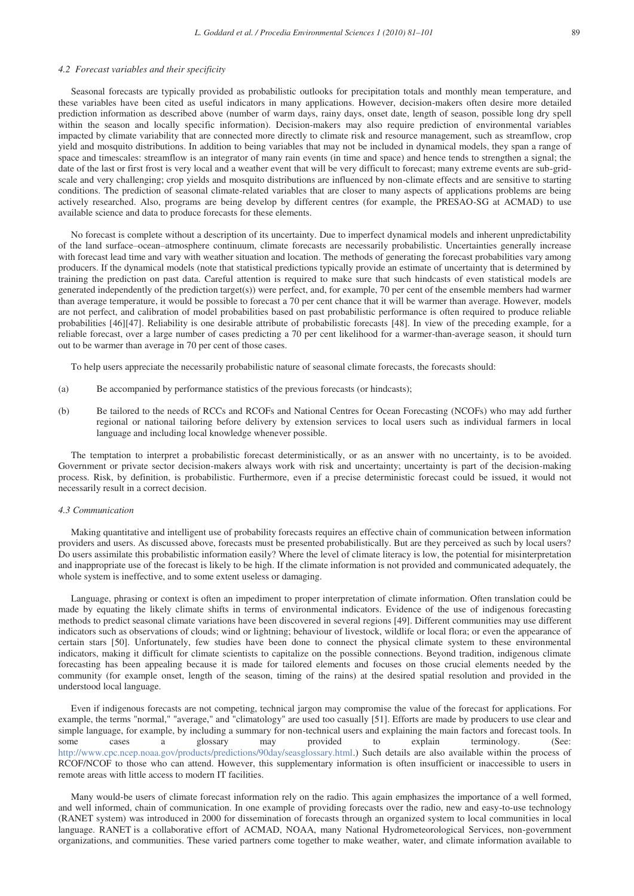#### *4.2 Forecast variables and their specificity*

Seasonal forecasts are typically provided as probabilistic outlooks for precipitation totals and monthly mean temperature, and these variables have been cited as useful indicators in many applications. However, decision-makers often desire more detailed prediction information as described above (number of warm days, rainy days, onset date, length of season, possible long dry spell within the season and locally specific information). Decision-makers may also require prediction of environmental variables impacted by climate variability that are connected more directly to climate risk and resource management, such as streamflow, crop yield and mosquito distributions. In addition to being variables that may not be included in dynamical models, they span a range of space and timescales: streamflow is an integrator of many rain events (in time and space) and hence tends to strengthen a signal; the date of the last or first frost is very local and a weather event that will be very difficult to forecast; many extreme events are sub-gridscale and very challenging; crop yields and mosquito distributions are influenced by non-climate effects and are sensitive to starting conditions. The prediction of seasonal climate-related variables that are closer to many aspects of applications problems are being actively researched. Also, programs are being develop by different centres (for example, the PRESAO-SG at ACMAD) to use available science and data to produce forecasts for these elements.

No forecast is complete without a description of its uncertainty. Due to imperfect dynamical models and inherent unpredictability of the land surface–ocean–atmosphere continuum, climate forecasts are necessarily probabilistic. Uncertainties generally increase with forecast lead time and vary with weather situation and location. The methods of generating the forecast probabilities vary among producers. If the dynamical models (note that statistical predictions typically provide an estimate of uncertainty that is determined by training the prediction on past data. Careful attention is required to make sure that such hindcasts of even statistical models are generated independently of the prediction target(s)) were perfect, and, for example, 70 per cent of the ensemble members had warmer than average temperature, it would be possible to forecast a 70 per cent chance that it will be warmer than average. However, models are not perfect, and calibration of model probabilities based on past probabilistic performance is often required to produce reliable probabilities [46][47]. Reliability is one desirable attribute of probabilistic forecasts [48]. In view of the preceding example, for a reliable forecast, over a large number of cases predicting a 70 per cent likelihood for a warmer-than-average season, it should turn out to be warmer than average in 70 per cent of those cases.

To help users appreciate the necessarily probabilistic nature of seasonal climate forecasts, the forecasts should:

- (a) Be accompanied by performance statistics of the previous forecasts (or hindcasts);
- (b) Be tailored to the needs of RCCs and RCOFs and National Centres for Ocean Forecasting (NCOFs) who may add further regional or national tailoring before delivery by extension services to local users such as individual farmers in local language and including local knowledge whenever possible.

The temptation to interpret a probabilistic forecast deterministically, or as an answer with no uncertainty, is to be avoided. Government or private sector decision-makers always work with risk and uncertainty; uncertainty is part of the decision-making process. Risk, by definition, is probabilistic. Furthermore, even if a precise deterministic forecast could be issued, it would not necessarily result in a correct decision.

#### *4.3 Communication*

Making quantitative and intelligent use of probability forecasts requires an effective chain of communication between information providers and users. As discussed above, forecasts must be presented probabilistically. But are they perceived as such by local users? Do users assimilate this probabilistic information easily? Where the level of climate literacy is low, the potential for misinterpretation and inappropriate use of the forecast is likely to be high. If the climate information is not provided and communicated adequately, the whole system is ineffective, and to some extent useless or damaging.

Language, phrasing or context is often an impediment to proper interpretation of climate information. Often translation could be made by equating the likely climate shifts in terms of environmental indicators. Evidence of the use of indigenous forecasting methods to predict seasonal climate variations have been discovered in several regions [49]. Different communities may use different indicators such as observations of clouds; wind or lightning; behaviour of livestock, wildlife or local flora; or even the appearance of certain stars [50]. Unfortunately, few studies have been done to connect the physical climate system to these environmental indicators, making it difficult for climate scientists to capitalize on the possible connections. Beyond tradition, indigenous climate forecasting has been appealing because it is made for tailored elements and focuses on those crucial elements needed by the community (for example onset, length of the season, timing of the rains) at the desired spatial resolution and provided in the understood local language.

Even if indigenous forecasts are not competing, technical jargon may compromise the value of the forecast for applications. For example, the terms "normal," "average," and "climatology" are used too casually [51]. Efforts are made by producers to use clear and simple language, for example, by including a summary for non-technical users and explaining the main factors and forecast tools. In some cases a glossary may provided to explain terminology. (See: some cases a glossary may provided to explain terminology. (See: http://www.cpc.ncep.noaa.gov/products/predictions/90day/seasglossary.html.) Such details are also available within the process of RCOF/NCOF to those who can attend. However, this supplementary information is often insufficient or inaccessible to users in remote areas with little access to modern IT facilities.

Many would-be users of climate forecast information rely on the radio. This again emphasizes the importance of a well formed, and well informed, chain of communication. In one example of providing forecasts over the radio, new and easy-to-use technology (RANET system) was introduced in 2000 for dissemination of forecasts through an organized system to local communities in local language. RANET is a collaborative effort of ACMAD, NOAA, many National Hydrometeorological Services, non-government organizations, and communities. These varied partners come together to make weather, water, and climate information available to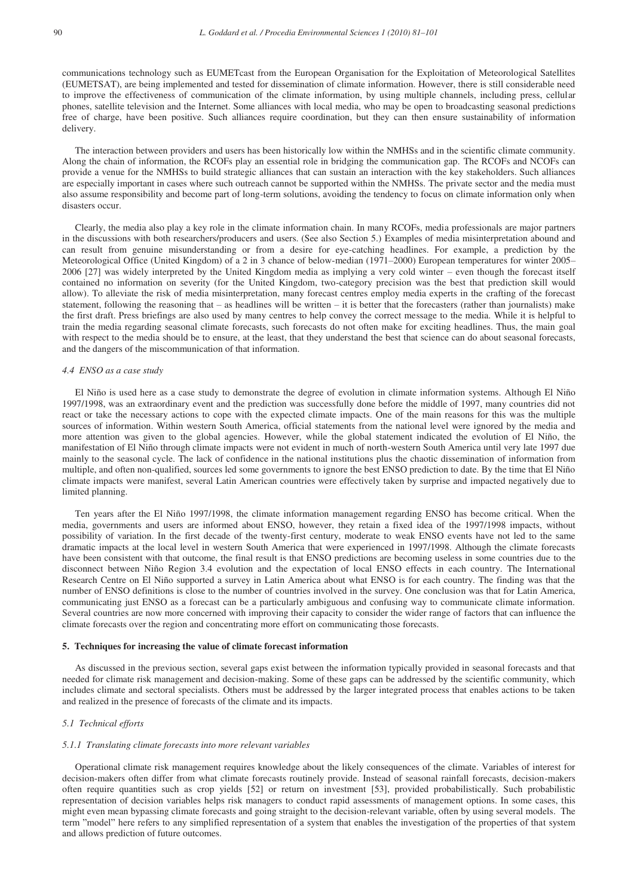communications technology such as EUMETcast from the European Organisation for the Exploitation of Meteorological Satellites (EUMETSAT), are being implemented and tested for dissemination of climate information. However, there is still considerable need to improve the effectiveness of communication of the climate information, by using multiple channels, including press, cellular phones, satellite television and the Internet. Some alliances with local media, who may be open to broadcasting seasonal predictions free of charge, have been positive. Such alliances require coordination, but they can then ensure sustainability of information delivery.

The interaction between providers and users has been historically low within the NMHSs and in the scientific climate community. Along the chain of information, the RCOFs play an essential role in bridging the communication gap. The RCOFs and NCOFs can provide a venue for the NMHSs to build strategic alliances that can sustain an interaction with the key stakeholders. Such alliances are especially important in cases where such outreach cannot be supported within the NMHSs. The private sector and the media must also assume responsibility and become part of long-term solutions, avoiding the tendency to focus on climate information only when disasters occur.

Clearly, the media also play a key role in the climate information chain. In many RCOFs, media professionals are major partners in the discussions with both researchers/producers and users. (See also Section 5.) Examples of media misinterpretation abound and can result from genuine misunderstanding or from a desire for eye-catching headlines. For example, a prediction by the Meteorological Office (United Kingdom) of a 2 in 3 chance of below-median (1971–2000) European temperatures for winter 2005– 2006 [27] was widely interpreted by the United Kingdom media as implying a very cold winter – even though the forecast itself contained no information on severity (for the United Kingdom, two-category precision was the best that prediction skill would allow). To alleviate the risk of media misinterpretation, many forecast centres employ media experts in the crafting of the forecast statement, following the reasoning that – as headlines will be written – it is better that the forecasters (rather than journalists) make the first draft. Press briefings are also used by many centres to help convey the correct message to the media. While it is helpful to train the media regarding seasonal climate forecasts, such forecasts do not often make for exciting headlines. Thus, the main goal with respect to the media should be to ensure, at the least, that they understand the best that science can do about seasonal forecasts, and the dangers of the miscommunication of that information.

# *4.4 ENSO as a case study*

El Niño is used here as a case study to demonstrate the degree of evolution in climate information systems. Although El Niño 1997/1998, was an extraordinary event and the prediction was successfully done before the middle of 1997, many countries did not react or take the necessary actions to cope with the expected climate impacts. One of the main reasons for this was the multiple sources of information. Within western South America, official statements from the national level were ignored by the media and more attention was given to the global agencies. However, while the global statement indicated the evolution of El Niño, the manifestation of El Niño through climate impacts were not evident in much of north-western South America until very late 1997 due mainly to the seasonal cycle. The lack of confidence in the national institutions plus the chaotic dissemination of information from multiple, and often non-qualified, sources led some governments to ignore the best ENSO prediction to date. By the time that El Niño climate impacts were manifest, several Latin American countries were effectively taken by surprise and impacted negatively due to limited planning.

Ten years after the El Niño 1997/1998, the climate information management regarding ENSO has become critical. When the media, governments and users are informed about ENSO, however, they retain a fixed idea of the 1997/1998 impacts, without possibility of variation. In the first decade of the twenty-first century, moderate to weak ENSO events have not led to the same dramatic impacts at the local level in western South America that were experienced in 1997/1998. Although the climate forecasts have been consistent with that outcome, the final result is that ENSO predictions are becoming useless in some countries due to the disconnect between Niño Region 3.4 evolution and the expectation of local ENSO effects in each country. The International Research Centre on El Niño supported a survey in Latin America about what ENSO is for each country. The finding was that the number of ENSO definitions is close to the number of countries involved in the survey. One conclusion was that for Latin America, communicating just ENSO as a forecast can be a particularly ambiguous and confusing way to communicate climate information. Several countries are now more concerned with improving their capacity to consider the wider range of factors that can influence the climate forecasts over the region and concentrating more effort on communicating those forecasts.

#### **5. Techniques for increasing the value of climate forecast information**

As discussed in the previous section, several gaps exist between the information typically provided in seasonal forecasts and that needed for climate risk management and decision-making. Some of these gaps can be addressed by the scientific community, which includes climate and sectoral specialists. Others must be addressed by the larger integrated process that enables actions to be taken and realized in the presence of forecasts of the climate and its impacts.

# *5.1 Technical efforts*

#### *5.1.1 Translating climate forecasts into more relevant variables*

Operational climate risk management requires knowledge about the likely consequences of the climate. Variables of interest for decision-makers often differ from what climate forecasts routinely provide. Instead of seasonal rainfall forecasts, decision-makers often require quantities such as crop yields [52] or return on investment [53], provided probabilistically. Such probabilistic representation of decision variables helps risk managers to conduct rapid assessments of management options. In some cases, this might even mean bypassing climate forecasts and going straight to the decision-relevant variable, often by using several models. The term "model" here refers to any simplified representation of a system that enables the investigation of the properties of that system and allows prediction of future outcomes.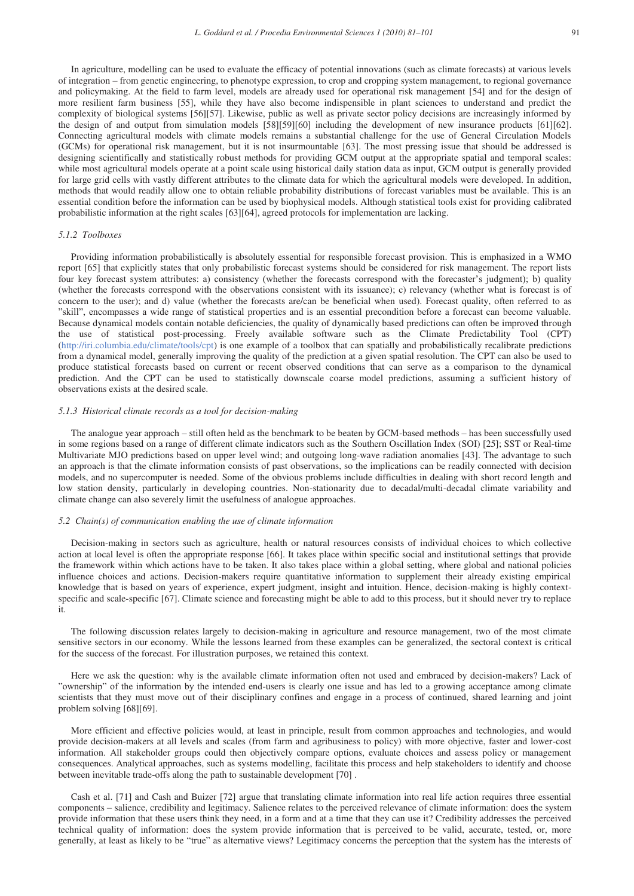In agriculture, modelling can be used to evaluate the efficacy of potential innovations (such as climate forecasts) at various levels of integration – from genetic engineering, to phenotype expression, to crop and cropping system management, to regional governance and policymaking. At the field to farm level, models are already used for operational risk management [54] and for the design of more resilient farm business [55], while they have also become indispensible in plant sciences to understand and predict the complexity of biological systems [56][57]. Likewise, public as well as private sector policy decisions are increasingly informed by the design of and output from simulation models [58][59][60] including the development of new insurance products [61][62]. Connecting agricultural models with climate models remains a substantial challenge for the use of General Circulation Models (GCMs) for operational risk management, but it is not insurmountable [63]. The most pressing issue that should be addressed is designing scientifically and statistically robust methods for providing GCM output at the appropriate spatial and temporal scales: while most agricultural models operate at a point scale using historical daily station data as input, GCM output is generally provided for large grid cells with vastly different attributes to the climate data for which the agricultural models were developed. In addition, methods that would readily allow one to obtain reliable probability distributions of forecast variables must be available. This is an essential condition before the information can be used by biophysical models. Although statistical tools exist for providing calibrated probabilistic information at the right scales [63][64], agreed protocols for implementation are lacking.

#### *5.1.2 Toolboxes*

Providing information probabilistically is absolutely essential for responsible forecast provision. This is emphasized in a WMO report [65] that explicitly states that only probabilistic forecast systems should be considered for risk management. The report lists four key forecast system attributes: a) consistency (whether the forecasts correspond with the forecaster's judgment); b) quality (whether the forecasts correspond with the observations consistent with its issuance); c) relevancy (whether what is forecast is of concern to the user); and d) value (whether the forecasts are/can be beneficial when used). Forecast quality, often referred to as "skill", encompasses a wide range of statistical properties and is an essential precondition before a forecast can become valuable. Because dynamical models contain notable deficiencies, the quality of dynamically based predictions can often be improved through the use of statistical post-processing. Freely available software such as the Climate Predictability Tool (CPT) (http://iri.columbia.edu/climate/tools/cpt) is one example of a toolbox that can spatially and probabilistically recalibrate predictions from a dynamical model, generally improving the quality of the prediction at a given spatial resolution. The CPT can also be used to produce statistical forecasts based on current or recent observed conditions that can serve as a comparison to the dynamical prediction. And the CPT can be used to statistically downscale coarse model predictions, assuming a sufficient history of observations exists at the desired scale.

# *5.1.3 Historical climate records as a tool for decision-making*

The analogue year approach – still often held as the benchmark to be beaten by GCM-based methods – has been successfully used in some regions based on a range of different climate indicators such as the Southern Oscillation Index (SOI) [25]; SST or Real-time Multivariate MJO predictions based on upper level wind; and outgoing long-wave radiation anomalies [43]. The advantage to such an approach is that the climate information consists of past observations, so the implications can be readily connected with decision models, and no supercomputer is needed. Some of the obvious problems include difficulties in dealing with short record length and low station density, particularly in developing countries. Non-stationarity due to decadal/multi-decadal climate variability and climate change can also severely limit the usefulness of analogue approaches.

# *5.2 Chain(s) of communication enabling the use of climate information*

Decision-making in sectors such as agriculture, health or natural resources consists of individual choices to which collective action at local level is often the appropriate response [66]. It takes place within specific social and institutional settings that provide the framework within which actions have to be taken. It also takes place within a global setting, where global and national policies influence choices and actions. Decision-makers require quantitative information to supplement their already existing empirical knowledge that is based on years of experience, expert judgment, insight and intuition. Hence, decision-making is highly contextspecific and scale-specific [67]. Climate science and forecasting might be able to add to this process, but it should never try to replace it.

The following discussion relates largely to decision-making in agriculture and resource management, two of the most climate sensitive sectors in our economy. While the lessons learned from these examples can be generalized, the sectoral context is critical for the success of the forecast. For illustration purposes, we retained this context.

Here we ask the question: why is the available climate information often not used and embraced by decision-makers? Lack of "ownership" of the information by the intended end-users is clearly one issue and has led to a growing acceptance among climate scientists that they must move out of their disciplinary confines and engage in a process of continued, shared learning and joint problem solving [68][69].

More efficient and effective policies would, at least in principle, result from common approaches and technologies, and would provide decision-makers at all levels and scales (from farm and agribusiness to policy) with more objective, faster and lower-cost information. All stakeholder groups could then objectively compare options, evaluate choices and assess policy or management consequences. Analytical approaches, such as systems modelling, facilitate this process and help stakeholders to identify and choose between inevitable trade-offs along the path to sustainable development [70] .

Cash et al. [71] and Cash and Buizer [72] argue that translating climate information into real life action requires three essential components – salience, credibility and legitimacy. Salience relates to the perceived relevance of climate information: does the system provide information that these users think they need, in a form and at a time that they can use it? Credibility addresses the perceived technical quality of information: does the system provide information that is perceived to be valid, accurate, tested, or, more generally, at least as likely to be "true" as alternative views? Legitimacy concerns the perception that the system has the interests of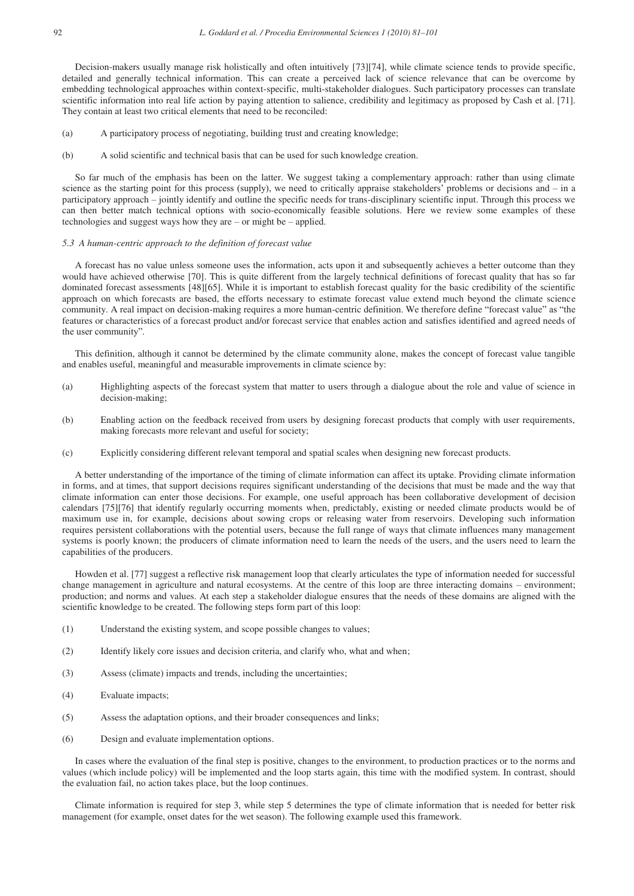Decision-makers usually manage risk holistically and often intuitively [73][74], while climate science tends to provide specific, detailed and generally technical information. This can create a perceived lack of science relevance that can be overcome by embedding technological approaches within context-specific, multi-stakeholder dialogues. Such participatory processes can translate scientific information into real life action by paying attention to salience, credibility and legitimacy as proposed by Cash et al. [71]. They contain at least two critical elements that need to be reconciled:

- (a) A participatory process of negotiating, building trust and creating knowledge;
- (b) A solid scientific and technical basis that can be used for such knowledge creation.

So far much of the emphasis has been on the latter. We suggest taking a complementary approach: rather than using climate science as the starting point for this process (supply), we need to critically appraise stakeholders' problems or decisions and – in a participatory approach – jointly identify and outline the specific needs for trans-disciplinary scientific input. Through this process we can then better match technical options with socio-economically feasible solutions. Here we review some examples of these technologies and suggest ways how they are – or might be – applied.

#### *5.3 A human-centric approach to the definition of forecast value*

A forecast has no value unless someone uses the information, acts upon it and subsequently achieves a better outcome than they would have achieved otherwise [70]. This is quite different from the largely technical definitions of forecast quality that has so far dominated forecast assessments [48][65]. While it is important to establish forecast quality for the basic credibility of the scientific approach on which forecasts are based, the efforts necessary to estimate forecast value extend much beyond the climate science community. A real impact on decision-making requires a more human-centric definition. We therefore define "forecast value" as "the features or characteristics of a forecast product and/or forecast service that enables action and satisfies identified and agreed needs of the user community"*.* 

This definition, although it cannot be determined by the climate community alone, makes the concept of forecast value tangible and enables useful, meaningful and measurable improvements in climate science by:

- (a) Highlighting aspects of the forecast system that matter to users through a dialogue about the role and value of science in decision-making;
- (b) Enabling action on the feedback received from users by designing forecast products that comply with user requirements, making forecasts more relevant and useful for society;
- (c) Explicitly considering different relevant temporal and spatial scales when designing new forecast products.

A better understanding of the importance of the timing of climate information can affect its uptake. Providing climate information in forms, and at times, that support decisions requires significant understanding of the decisions that must be made and the way that climate information can enter those decisions. For example, one useful approach has been collaborative development of decision calendars [75][76] that identify regularly occurring moments when, predictably, existing or needed climate products would be of maximum use in, for example, decisions about sowing crops or releasing water from reservoirs. Developing such information requires persistent collaborations with the potential users, because the full range of ways that climate influences many management systems is poorly known; the producers of climate information need to learn the needs of the users, and the users need to learn the capabilities of the producers.

Howden et al. [77] suggest a reflective risk management loop that clearly articulates the type of information needed for successful change management in agriculture and natural ecosystems. At the centre of this loop are three interacting domains – environment; production; and norms and values. At each step a stakeholder dialogue ensures that the needs of these domains are aligned with the scientific knowledge to be created. The following steps form part of this loop:

- (1) Understand the existing system, and scope possible changes to values;
- (2) Identify likely core issues and decision criteria, and clarify who, what and when;
- (3) Assess (climate) impacts and trends, including the uncertainties;
- (4) Evaluate impacts;
- (5) Assess the adaptation options, and their broader consequences and links;
- (6) Design and evaluate implementation options.

In cases where the evaluation of the final step is positive, changes to the environment, to production practices or to the norms and values (which include policy) will be implemented and the loop starts again, this time with the modified system. In contrast, should the evaluation fail, no action takes place, but the loop continues.

Climate information is required for step 3, while step 5 determines the type of climate information that is needed for better risk management (for example, onset dates for the wet season). The following example used this framework.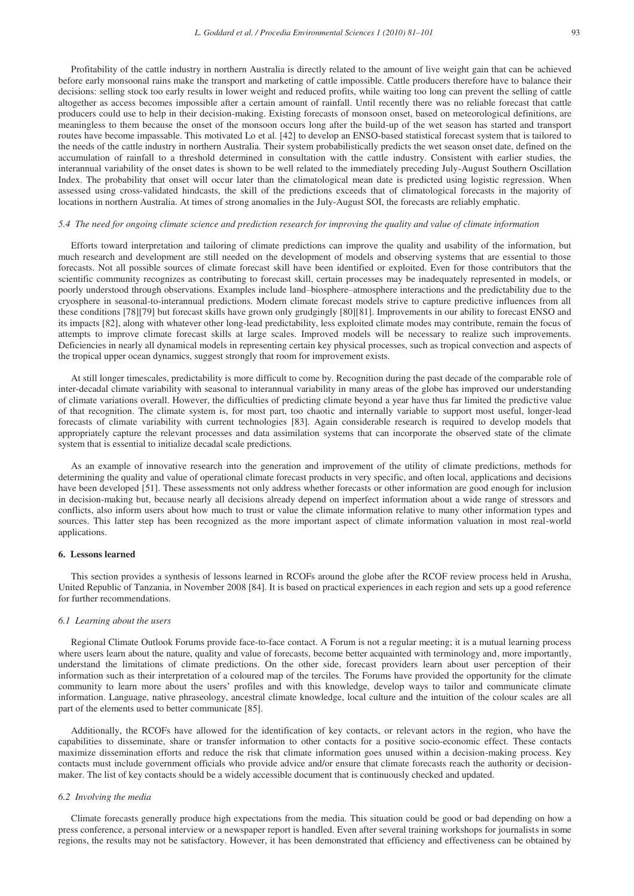Profitability of the cattle industry in northern Australia is directly related to the amount of live weight gain that can be achieved before early monsoonal rains make the transport and marketing of cattle impossible. Cattle producers therefore have to balance their decisions: selling stock too early results in lower weight and reduced profits, while waiting too long can prevent the selling of cattle altogether as access becomes impossible after a certain amount of rainfall. Until recently there was no reliable forecast that cattle producers could use to help in their decision-making. Existing forecasts of monsoon onset, based on meteorological definitions, are meaningless to them because the onset of the monsoon occurs long after the build-up of the wet season has started and transport routes have become impassable. This motivated Lo et al. [42] to develop an ENSO-based statistical forecast system that is tailored to the needs of the cattle industry in northern Australia. Their system probabilistically predicts the wet season onset date, defined on the accumulation of rainfall to a threshold determined in consultation with the cattle industry. Consistent with earlier studies, the interannual variability of the onset dates is shown to be well related to the immediately preceding July-August Southern Oscillation Index. The probability that onset will occur later than the climatological mean date is predicted using logistic regression. When assessed using cross-validated hindcasts, the skill of the predictions exceeds that of climatological forecasts in the majority of locations in northern Australia. At times of strong anomalies in the July-August SOI, the forecasts are reliably emphatic.

#### *5.4 The need for ongoing climate science and prediction research for improving the quality and value of climate information*

Efforts toward interpretation and tailoring of climate predictions can improve the quality and usability of the information, but much research and development are still needed on the development of models and observing systems that are essential to those forecasts. Not all possible sources of climate forecast skill have been identified or exploited. Even for those contributors that the scientific community recognizes as contributing to forecast skill, certain processes may be inadequately represented in models, or poorly understood through observations. Examples include land–biosphere–atmosphere interactions and the predictability due to the cryosphere in seasonal-to-interannual predictions. Modern climate forecast models strive to capture predictive influences from all these conditions [78][79] but forecast skills have grown only grudgingly [80][81]. Improvements in our ability to forecast ENSO and its impacts [82], along with whatever other long-lead predictability, less exploited climate modes may contribute, remain the focus of attempts to improve climate forecast skills at large scales. Improved models will be necessary to realize such improvements. Deficiencies in nearly all dynamical models in representing certain key physical processes, such as tropical convection and aspects of the tropical upper ocean dynamics, suggest strongly that room for improvement exists.

At still longer timescales, predictability is more difficult to come by. Recognition during the past decade of the comparable role of inter-decadal climate variability with seasonal to interannual variability in many areas of the globe has improved our understanding of climate variations overall. However, the difficulties of predicting climate beyond a year have thus far limited the predictive value of that recognition. The climate system is, for most part, too chaotic and internally variable to support most useful, longer-lead forecasts of climate variability with current technologies [83]. Again considerable research is required to develop models that appropriately capture the relevant processes and data assimilation systems that can incorporate the observed state of the climate system that is essential to initialize decadal scale predictions.

As an example of innovative research into the generation and improvement of the utility of climate predictions, methods for determining the quality and value of operational climate forecast products in very specific, and often local, applications and decisions have been developed [51]. These assessments not only address whether forecasts or other information are good enough for inclusion in decision-making but, because nearly all decisions already depend on imperfect information about a wide range of stressors and conflicts, also inform users about how much to trust or value the climate information relative to many other information types and sources. This latter step has been recognized as the more important aspect of climate information valuation in most real-world applications.

#### **6. Lessons learned**

This section provides a synthesis of lessons learned in RCOFs around the globe after the RCOF review process held in Arusha, United Republic of Tanzania, in November 2008 [84]. It is based on practical experiences in each region and sets up a good reference for further recommendations.

# *6.1 Learning about the users*

Regional Climate Outlook Forums provide face-to-face contact. A Forum is not a regular meeting; it is a mutual learning process where users learn about the nature, quality and value of forecasts, become better acquainted with terminology and, more importantly, understand the limitations of climate predictions. On the other side, forecast providers learn about user perception of their information such as their interpretation of a coloured map of the terciles. The Forums have provided the opportunity for the climate community to learn more about the users' profiles and with this knowledge, develop ways to tailor and communicate climate information. Language, native phraseology, ancestral climate knowledge, local culture and the intuition of the colour scales are all part of the elements used to better communicate [85].

Additionally, the RCOFs have allowed for the identification of key contacts, or relevant actors in the region, who have the capabilities to disseminate, share or transfer information to other contacts for a positive socio-economic effect. These contacts maximize dissemination efforts and reduce the risk that climate information goes unused within a decision-making process. Key contacts must include government officials who provide advice and/or ensure that climate forecasts reach the authority or decisionmaker. The list of key contacts should be a widely accessible document that is continuously checked and updated.

# *6.2 Involving the media*

Climate forecasts generally produce high expectations from the media. This situation could be good or bad depending on how a press conference, a personal interview or a newspaper report is handled. Even after several training workshops for journalists in some regions, the results may not be satisfactory. However, it has been demonstrated that efficiency and effectiveness can be obtained by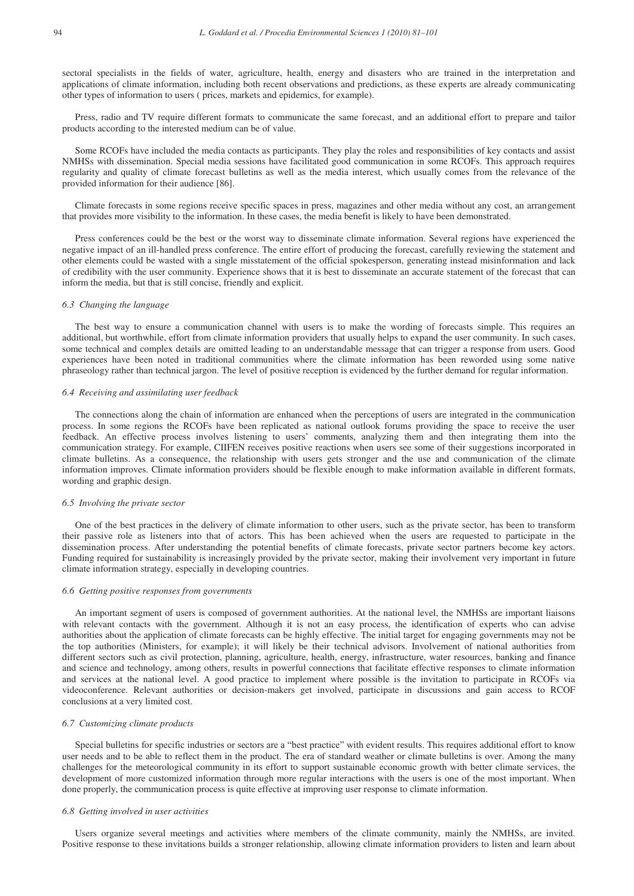sectoral specialists in the fields of water, agriculture, health, energy and disasters who are trained in the interpretation and applications of climate information, including both recent observations and predictions, as these experts are already communicating other types of information to users ( prices, markets and epidemics, for example).

Press, radio and TV require different formats to communicate the same forecast, and an additional effort to prepare and tailor products according to the interested medium can be of value.

Some RCOFs have included the media contacts as participants. They play the roles and responsibilities of key contacts and assist NMHSs with dissemination. Special media sessions have facilitated good communication in some RCOFs. This approach requires regularity and quality of climate forecast bulletins as well as the media interest, which usually comes from the relevance of the provided information for their audience [86].

Climate forecasts in some regions receive specific spaces in press, magazines and other media without any cost, an arrangement that provides more visibility to the information. In these cases, the media benefit is likely to have been demonstrated.

Press conferences could be the best or the worst way to disseminate climate information. Several regions have experienced the negative impact of an ill-handled press conference. The entire effort of producing the forecast, carefully reviewing the statement and other elements could be wasted with a single misstatement of the official spokesperson, generating instead misinformation and lack of credibility with the user community. Experience shows that it is best to disseminate an accurate statement of the forecast that can inform the media, but that is still concise, friendly and explicit.

# *6.3 Changing the language*

The best way to ensure a communication channel with users is to make the wording of forecasts simple. This requires an additional, but worthwhile, effort from climate information providers that usually helps to expand the user community. In such cases, some technical and complex details are omitted leading to an understandable message that can trigger a response from users. Good experiences have been noted in traditional communities where the climate information has been reworded using some native phraseology rather than technical jargon. The level of positive reception is evidenced by the further demand for regular information.

#### *6.4 Receiving and assimilating user feedback*

The connections along the chain of information are enhanced when the perceptions of users are integrated in the communication process. In some regions the RCOFs have been replicated as national outlook forums providing the space to receive the user feedback. An effective process involves listening to users' comments, analyzing them and then integrating them into the communication strategy. For example, CIIFEN receives positive reactions when users see some of their suggestions incorporated in climate bulletins. As a consequence, the relationship with users gets stronger and the use and communication of the climate information improves. Climate information providers should be flexible enough to make information available in different formats, wording and graphic design.

#### *6.5 Involving the private sector*

One of the best practices in the delivery of climate information to other users, such as the private sector, has been to transform their passive role as listeners into that of actors. This has been achieved when the users are requested to participate in the dissemination process. After understanding the potential benefits of climate forecasts, private sector partners become key actors. Funding required for sustainability is increasingly provided by the private sector, making their involvement very important in future climate information strategy, especially in developing countries.

#### *6.6 Getting positive responses from governments*

An important segment of users is composed of government authorities. At the national level, the NMHSs are important liaisons with relevant contacts with the government. Although it is not an easy process, the identification of experts who can advise authorities about the application of climate forecasts can be highly effective. The initial target for engaging governments may not be the top authorities (Ministers, for example); it will likely be their technical advisors. Involvement of national authorities from different sectors such as civil protection, planning, agriculture, health, energy, infrastructure, water resources, banking and finance and science and technology, among others, results in powerful connections that facilitate effective responses to climate information and services at the national level. A good practice to implement where possible is the invitation to participate in RCOFs via videoconference. Relevant authorities or decision-makers get involved, participate in discussions and gain access to RCOF conclusions at a very limited cost.

### *6.7 Customizing climate products*

Special bulletins for specific industries or sectors are a "best practice" with evident results. This requires additional effort to know user needs and to be able to reflect them in the product. The era of standard weather or climate bulletins is over. Among the many challenges for the meteorological community in its effort to support sustainable economic growth with better climate services, the development of more customized information through more regular interactions with the users is one of the most important. When done properly, the communication process is quite effective at improving user response to climate information.

#### *6.8 Getting involved in user activities*

Users organize several meetings and activities where members of the climate community, mainly the NMHSs, are invited. Positive response to these invitations builds a stronger relationship, allowing climate information providers to listen and learn about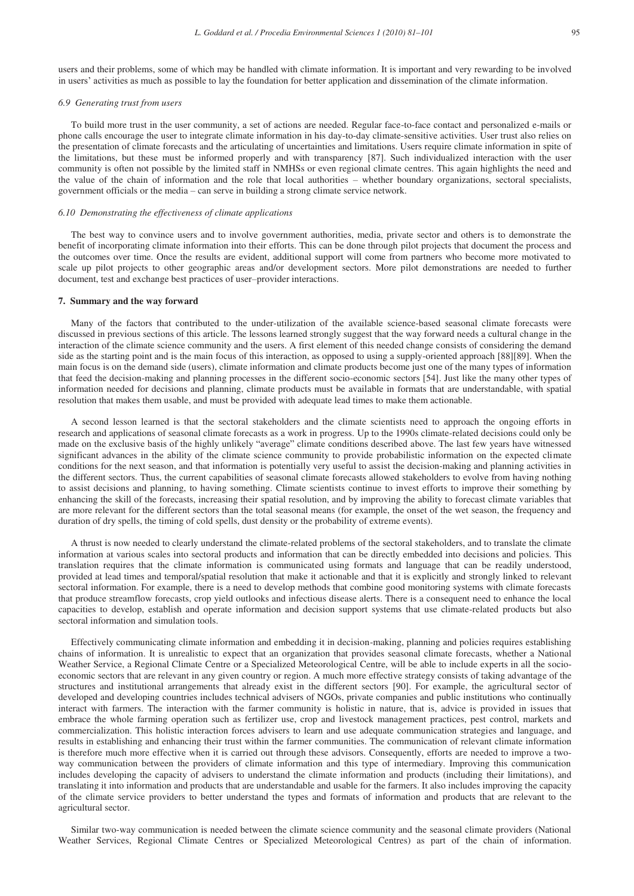users and their problems, some of which may be handled with climate information. It is important and very rewarding to be involved in users' activities as much as possible to lay the foundation for better application and dissemination of the climate information.

# *6.9 Generating trust from users*

To build more trust in the user community, a set of actions are needed. Regular face-to-face contact and personalized e-mails or phone calls encourage the user to integrate climate information in his day-to-day climate-sensitive activities. User trust also relies on the presentation of climate forecasts and the articulating of uncertainties and limitations. Users require climate information in spite of the limitations, but these must be informed properly and with transparency [87]. Such individualized interaction with the user community is often not possible by the limited staff in NMHSs or even regional climate centres. This again highlights the need and the value of the chain of information and the role that local authorities – whether boundary organizations, sectoral specialists, government officials or the media – can serve in building a strong climate service network.

#### *6.10 Demonstrating the effectiveness of climate applications*

The best way to convince users and to involve government authorities, media, private sector and others is to demonstrate the benefit of incorporating climate information into their efforts. This can be done through pilot projects that document the process and the outcomes over time. Once the results are evident, additional support will come from partners who become more motivated to scale up pilot projects to other geographic areas and/or development sectors. More pilot demonstrations are needed to further document, test and exchange best practices of user–provider interactions.

#### **7. Summary and the way forward**

Many of the factors that contributed to the under-utilization of the available science-based seasonal climate forecasts were discussed in previous sections of this article. The lessons learned strongly suggest that the way forward needs a cultural change in the interaction of the climate science community and the users. A first element of this needed change consists of considering the demand side as the starting point and is the main focus of this interaction, as opposed to using a supply-oriented approach [88][89]. When the main focus is on the demand side (users), climate information and climate products become just one of the many types of information that feed the decision-making and planning processes in the different socio-economic sectors [54]. Just like the many other types of information needed for decisions and planning, climate products must be available in formats that are understandable, with spatial resolution that makes them usable, and must be provided with adequate lead times to make them actionable.

A second lesson learned is that the sectoral stakeholders and the climate scientists need to approach the ongoing efforts in research and applications of seasonal climate forecasts as a work in progress. Up to the 1990s climate-related decisions could only be made on the exclusive basis of the highly unlikely "average" climate conditions described above. The last few years have witnessed significant advances in the ability of the climate science community to provide probabilistic information on the expected climate conditions for the next season, and that information is potentially very useful to assist the decision-making and planning activities in the different sectors. Thus, the current capabilities of seasonal climate forecasts allowed stakeholders to evolve from having nothing to assist decisions and planning, to having something. Climate scientists continue to invest efforts to improve their something by enhancing the skill of the forecasts, increasing their spatial resolution, and by improving the ability to forecast climate variables that are more relevant for the different sectors than the total seasonal means (for example, the onset of the wet season, the frequency and duration of dry spells, the timing of cold spells, dust density or the probability of extreme events).

A thrust is now needed to clearly understand the climate-related problems of the sectoral stakeholders, and to translate the climate information at various scales into sectoral products and information that can be directly embedded into decisions and policies. This translation requires that the climate information is communicated using formats and language that can be readily understood, provided at lead times and temporal/spatial resolution that make it actionable and that it is explicitly and strongly linked to relevant sectoral information. For example, there is a need to develop methods that combine good monitoring systems with climate forecasts that produce streamflow forecasts, crop yield outlooks and infectious disease alerts. There is a consequent need to enhance the local capacities to develop, establish and operate information and decision support systems that use climate-related products but also sectoral information and simulation tools.

Effectively communicating climate information and embedding it in decision-making, planning and policies requires establishing chains of information. It is unrealistic to expect that an organization that provides seasonal climate forecasts, whether a National Weather Service, a Regional Climate Centre or a Specialized Meteorological Centre, will be able to include experts in all the socioeconomic sectors that are relevant in any given country or region. A much more effective strategy consists of taking advantage of the structures and institutional arrangements that already exist in the different sectors [90]. For example, the agricultural sector of developed and developing countries includes technical advisers of NGOs, private companies and public institutions who continually interact with farmers. The interaction with the farmer community is holistic in nature, that is, advice is provided in issues that embrace the whole farming operation such as fertilizer use, crop and livestock management practices, pest control, markets and commercialization. This holistic interaction forces advisers to learn and use adequate communication strategies and language, and results in establishing and enhancing their trust within the farmer communities. The communication of relevant climate information is therefore much more effective when it is carried out through these advisors. Consequently, efforts are needed to improve a twoway communication between the providers of climate information and this type of intermediary. Improving this communication includes developing the capacity of advisers to understand the climate information and products (including their limitations), and translating it into information and products that are understandable and usable for the farmers. It also includes improving the capacity of the climate service providers to better understand the types and formats of information and products that are relevant to the agricultural sector.

Similar two-way communication is needed between the climate science community and the seasonal climate providers (National Weather Services, Regional Climate Centres or Specialized Meteorological Centres) as part of the chain of information.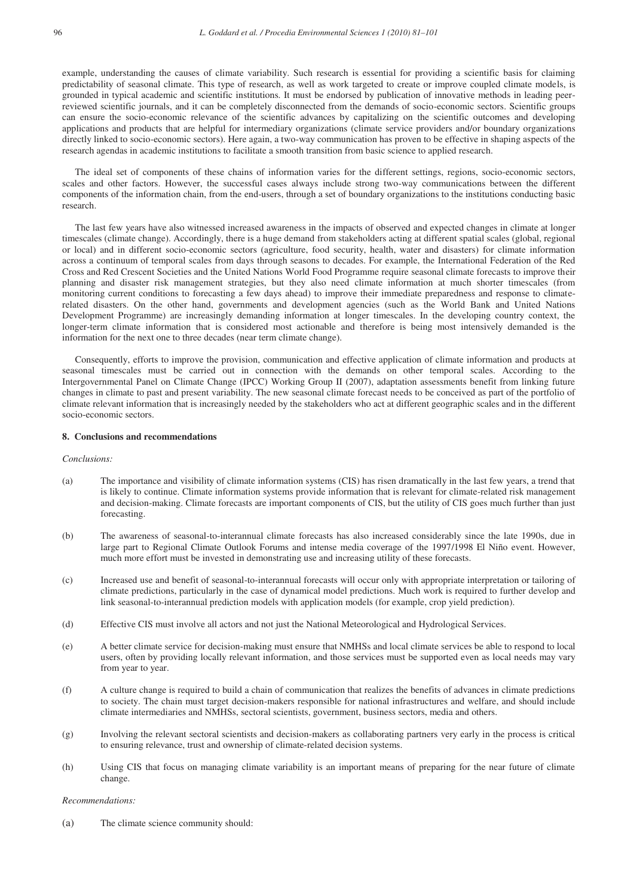example, understanding the causes of climate variability. Such research is essential for providing a scientific basis for claiming predictability of seasonal climate. This type of research, as well as work targeted to create or improve coupled climate models, is grounded in typical academic and scientific institutions. It must be endorsed by publication of innovative methods in leading peerreviewed scientific journals, and it can be completely disconnected from the demands of socio-economic sectors. Scientific groups can ensure the socio-economic relevance of the scientific advances by capitalizing on the scientific outcomes and developing applications and products that are helpful for intermediary organizations (climate service providers and/or boundary organizations directly linked to socio-economic sectors). Here again, a two-way communication has proven to be effective in shaping aspects of the research agendas in academic institutions to facilitate a smooth transition from basic science to applied research.

The ideal set of components of these chains of information varies for the different settings, regions, socio-economic sectors, scales and other factors. However, the successful cases always include strong two-way communications between the different components of the information chain, from the end-users, through a set of boundary organizations to the institutions conducting basic research.

The last few years have also witnessed increased awareness in the impacts of observed and expected changes in climate at longer timescales (climate change). Accordingly, there is a huge demand from stakeholders acting at different spatial scales (global, regional or local) and in different socio-economic sectors (agriculture, food security, health, water and disasters) for climate information across a continuum of temporal scales from days through seasons to decades. For example, the International Federation of the Red Cross and Red Crescent Societies and the United Nations World Food Programme require seasonal climate forecasts to improve their planning and disaster risk management strategies, but they also need climate information at much shorter timescales (from monitoring current conditions to forecasting a few days ahead) to improve their immediate preparedness and response to climaterelated disasters. On the other hand, governments and development agencies (such as the World Bank and United Nations Development Programme) are increasingly demanding information at longer timescales. In the developing country context, the longer-term climate information that is considered most actionable and therefore is being most intensively demanded is the information for the next one to three decades (near term climate change).

 Consequently, efforts to improve the provision, communication and effective application of climate information and products at seasonal timescales must be carried out in connection with the demands on other temporal scales. According to the Intergovernmental Panel on Climate Change (IPCC) Working Group II (2007), adaptation assessments benefit from linking future changes in climate to past and present variability. The new seasonal climate forecast needs to be conceived as part of the portfolio of climate relevant information that is increasingly needed by the stakeholders who act at different geographic scales and in the different socio-economic sectors.

# **8. Conclusions and recommendations**

#### *Conclusions:*

- (a) The importance and visibility of climate information systems (CIS) has risen dramatically in the last few years, a trend that is likely to continue. Climate information systems provide information that is relevant for climate-related risk management and decision-making. Climate forecasts are important components of CIS, but the utility of CIS goes much further than just forecasting.
- (b) The awareness of seasonal-to-interannual climate forecasts has also increased considerably since the late 1990s, due in large part to Regional Climate Outlook Forums and intense media coverage of the 1997/1998 El Niño event. However, much more effort must be invested in demonstrating use and increasing utility of these forecasts.
- (c) Increased use and benefit of seasonal-to-interannual forecasts will occur only with appropriate interpretation or tailoring of climate predictions, particularly in the case of dynamical model predictions. Much work is required to further develop and link seasonal-to-interannual prediction models with application models (for example, crop yield prediction).
- (d) Effective CIS must involve all actors and not just the National Meteorological and Hydrological Services.
- (e) A better climate service for decision-making must ensure that NMHSs and local climate services be able to respond to local users, often by providing locally relevant information, and those services must be supported even as local needs may vary from year to year.
- (f) A culture change is required to build a chain of communication that realizes the benefits of advances in climate predictions to society. The chain must target decision-makers responsible for national infrastructures and welfare, and should include climate intermediaries and NMHSs, sectoral scientists, government, business sectors, media and others.
- (g) Involving the relevant sectoral scientists and decision-makers as collaborating partners very early in the process is critical to ensuring relevance, trust and ownership of climate-related decision systems.
- (h) Using CIS that focus on managing climate variability is an important means of preparing for the near future of climate change.

### *Recommendations:*

(a) The climate science community should: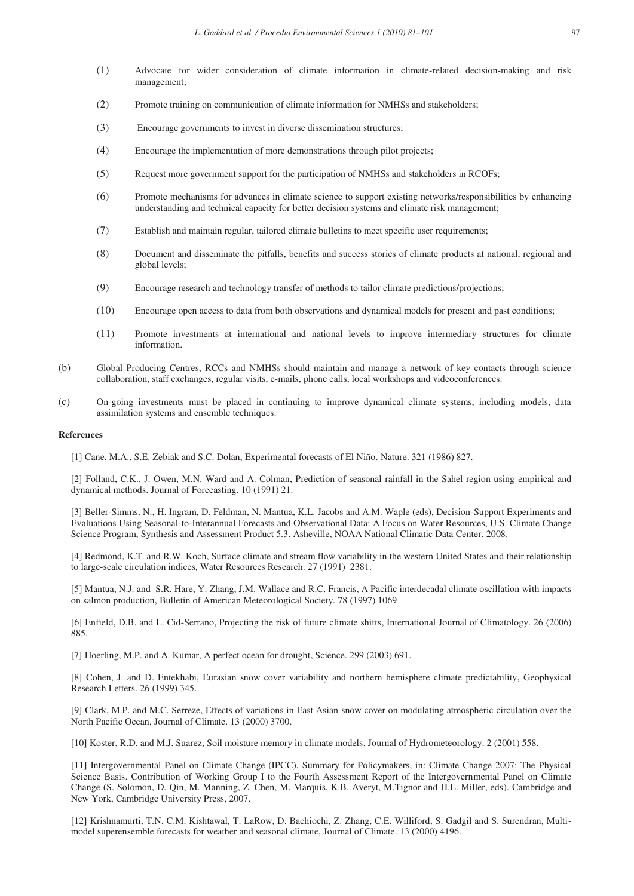- (1) Advocate for wider consideration of climate information in climate-related decision-making and risk management;
- (2) Promote training on communication of climate information for NMHSs and stakeholders;
- (3) Encourage governments to invest in diverse dissemination structures;
- (4) Encourage the implementation of more demonstrations through pilot projects;
- (5) Request more government support for the participation of NMHSs and stakeholders in RCOFs;
- (6) Promote mechanisms for advances in climate science to support existing networks/responsibilities by enhancing understanding and technical capacity for better decision systems and climate risk management;
- (7) Establish and maintain regular, tailored climate bulletins to meet specific user requirements;
- (8) Document and disseminate the pitfalls, benefits and success stories of climate products at national, regional and global levels;
- (9) Encourage research and technology transfer of methods to tailor climate predictions/projections;
- (10) Encourage open access to data from both observations and dynamical models for present and past conditions;
- (11) Promote investments at international and national levels to improve intermediary structures for climate information.
- (b) Global Producing Centres, RCCs and NMHSs should maintain and manage a network of key contacts through science collaboration, staff exchanges, regular visits, e-mails, phone calls, local workshops and videoconferences.
- (c) On-going investments must be placed in continuing to improve dynamical climate systems, including models, data assimilation systems and ensemble techniques.

# **References**

[1] Cane, M.A., S.E. Zebiak and S.C. Dolan, Experimental forecasts of El Niño. Nature. 321 (1986) 827.

[2] Folland, C.K., J. Owen, M.N. Ward and A. Colman, Prediction of seasonal rainfall in the Sahel region using empirical and dynamical methods. Journal of Forecasting. 10 (1991) 21.

[3] Beller-Simms, N., H. Ingram, D. Feldman, N. Mantua, K.L. Jacobs and A.M. Waple (eds), Decision-Support Experiments and Evaluations Using Seasonal-to-Interannual Forecasts and Observational Data: A Focus on Water Resources, U.S. Climate Change Science Program, Synthesis and Assessment Product 5.3, Asheville, NOAA National Climatic Data Center. 2008.

[4] Redmond, K.T. and R.W. Koch, Surface climate and stream flow variability in the western United States and their relationship to large-scale circulation indices, Water Resources Research. 27 (1991) 2381.

[5] Mantua, N.J. and S.R. Hare, Y. Zhang, J.M. Wallace and R.C. Francis, A Pacific interdecadal climate oscillation with impacts on salmon production, Bulletin of American Meteorological Society. 78 (1997) 1069

[6] Enfield, D.B. and L. Cid-Serrano, Projecting the risk of future climate shifts, International Journal of Climatology. 26 (2006) 885.

[7] Hoerling, M.P. and A. Kumar, A perfect ocean for drought, Science. 299 (2003) 691.

[8] Cohen, J. and D. Entekhabi, Eurasian snow cover variability and northern hemisphere climate predictability, Geophysical Research Letters. 26 (1999) 345.

[9] Clark, M.P. and M.C. Serreze, Effects of variations in East Asian snow cover on modulating atmospheric circulation over the North Pacific Ocean, Journal of Climate. 13 (2000) 3700.

[10] Koster, R.D. and M.J. Suarez, Soil moisture memory in climate models, Journal of Hydrometeorology. 2 (2001) 558.

[11] Intergovernmental Panel on Climate Change (IPCC), Summary for Policymakers, in: Climate Change 2007: The Physical Science Basis. Contribution of Working Group I to the Fourth Assessment Report of the Intergovernmental Panel on Climate Change (S. Solomon, D. Qin, M. Manning, Z. Chen, M. Marquis, K.B. Averyt, M.Tignor and H.L. Miller, eds). Cambridge and New York, Cambridge University Press, 2007.

[12] Krishnamurti, T.N. C.M. Kishtawal, T. LaRow, D. Bachiochi, Z. Zhang, C.E. Williford, S. Gadgil and S. Surendran, Multimodel superensemble forecasts for weather and seasonal climate, Journal of Climate. 13 (2000) 4196.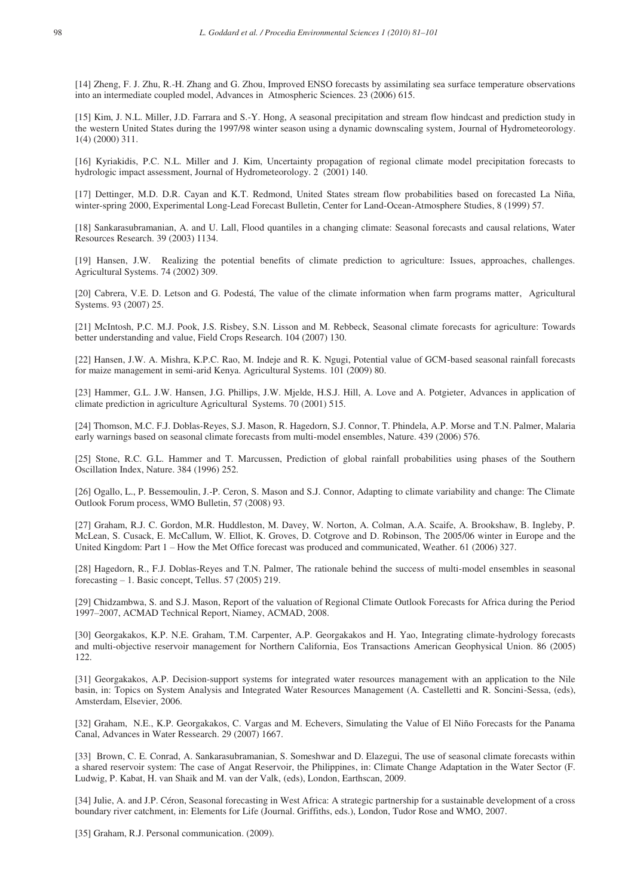[14] Zheng, F. J. Zhu, R.-H. Zhang and G. Zhou, Improved ENSO forecasts by assimilating sea surface temperature observations into an intermediate coupled model, Advances in Atmospheric Sciences. 23 (2006) 615.

[15] Kim, J. N.L. Miller, J.D. Farrara and S.-Y. Hong, A seasonal precipitation and stream flow hindcast and prediction study in the western United States during the 1997/98 winter season using a dynamic downscaling system, Journal of Hydrometeorology. 1(4) (2000) 311.

[16] Kyriakidis, P.C. N.L. Miller and J. Kim, Uncertainty propagation of regional climate model precipitation forecasts to hydrologic impact assessment, Journal of Hydrometeorology. 2 (2001) 140.

[17] Dettinger, M.D. D.R. Cayan and K.T. Redmond, United States stream flow probabilities based on forecasted La Niña, winter-spring 2000, Experimental Long-Lead Forecast Bulletin, Center for Land-Ocean-Atmosphere Studies, 8 (1999) 57.

[18] Sankarasubramanian, A. and U. Lall, Flood quantiles in a changing climate: Seasonal forecasts and causal relations, Water Resources Research. 39 (2003) 1134.

[19] Hansen, J.W. Realizing the potential benefits of climate prediction to agriculture: Issues, approaches, challenges. Agricultural Systems. 74 (2002) 309.

[20] Cabrera, V.E. D. Letson and G. Podestá, The value of the climate information when farm programs matter, Agricultural Systems. 93 (2007) 25.

[21] McIntosh, P.C. M.J. Pook, J.S. Risbey, S.N. Lisson and M. Rebbeck, Seasonal climate forecasts for agriculture: Towards better understanding and value, Field Crops Research. 104 (2007) 130.

[22] Hansen, J.W. A. Mishra, K.P.C. Rao, M. Indeje and R. K. Ngugi, Potential value of GCM-based seasonal rainfall forecasts for maize management in semi-arid Kenya. Agricultural Systems. 101 (2009) 80.

[23] Hammer, G.L. J.W. Hansen, J.G. Phillips, J.W. Mjelde, H.S.J. Hill, A. Love and A. Potgieter, Advances in application of climate prediction in agriculture Agricultural Systems. 70 (2001) 515.

[24] Thomson, M.C. F.J. Doblas-Reyes, S.J. Mason, R. Hagedorn, S.J. Connor, T. Phindela, A.P. Morse and T.N. Palmer, Malaria early warnings based on seasonal climate forecasts from multi-model ensembles, Nature. 439 (2006) 576.

[25] Stone, R.C. G.L. Hammer and T. Marcussen, Prediction of global rainfall probabilities using phases of the Southern Oscillation Index, Nature. 384 (1996) 252.

[26] Ogallo, L., P. Bessemoulin, J.-P. Ceron, S. Mason and S.J. Connor, Adapting to climate variability and change: The Climate Outlook Forum process, WMO Bulletin, 57 (2008) 93.

[27] Graham, R.J. C. Gordon, M.R. Huddleston, M. Davey, W. Norton, A. Colman, A.A. Scaife, A. Brookshaw, B. Ingleby, P. McLean, S. Cusack, E. McCallum, W. Elliot, K. Groves, D. Cotgrove and D. Robinson, The 2005/06 winter in Europe and the United Kingdom: Part 1 – How the Met Office forecast was produced and communicated, Weather. 61 (2006) 327.

[28] Hagedorn, R., F.J. Doblas-Reyes and T.N. Palmer, The rationale behind the success of multi-model ensembles in seasonal forecasting – 1. Basic concept, Tellus. 57 (2005) 219.

[29] Chidzambwa, S. and S.J. Mason, Report of the valuation of Regional Climate Outlook Forecasts for Africa during the Period 1997–2007, ACMAD Technical Report, Niamey, ACMAD, 2008.

[30] Georgakakos, K.P. N.E. Graham, T.M. Carpenter, A.P. Georgakakos and H. Yao, Integrating climate-hydrology forecasts and multi-objective reservoir management for Northern California, Eos Transactions American Geophysical Union. 86 (2005) 122.

[31] Georgakakos, A.P. Decision-support systems for integrated water resources management with an application to the Nile basin, in: Topics on System Analysis and Integrated Water Resources Management (A. Castelletti and R. Soncini-Sessa, (eds), Amsterdam, Elsevier, 2006.

[32] Graham, N.E., K.P. Georgakakos, C. Vargas and M. Echevers, Simulating the Value of El Niño Forecasts for the Panama Canal, Advances in Water Ressearch. 29 (2007) 1667.

[33] Brown, C. E. Conrad, A. Sankarasubramanian, S. Someshwar and D. Elazegui, The use of seasonal climate forecasts within a shared reservoir system: The case of Angat Reservoir, the Philippines, in: Climate Change Adaptation in the Water Sector (F. Ludwig, P. Kabat, H. van Shaik and M. van der Valk, (eds), London, Earthscan, 2009.

[34] Julie, A. and J.P. Céron, Seasonal forecasting in West Africa: A strategic partnership for a sustainable development of a cross boundary river catchment, in: Elements for Life (Journal. Griffiths, eds.), London, Tudor Rose and WMO, 2007.

[35] Graham, R.J. Personal communication. (2009).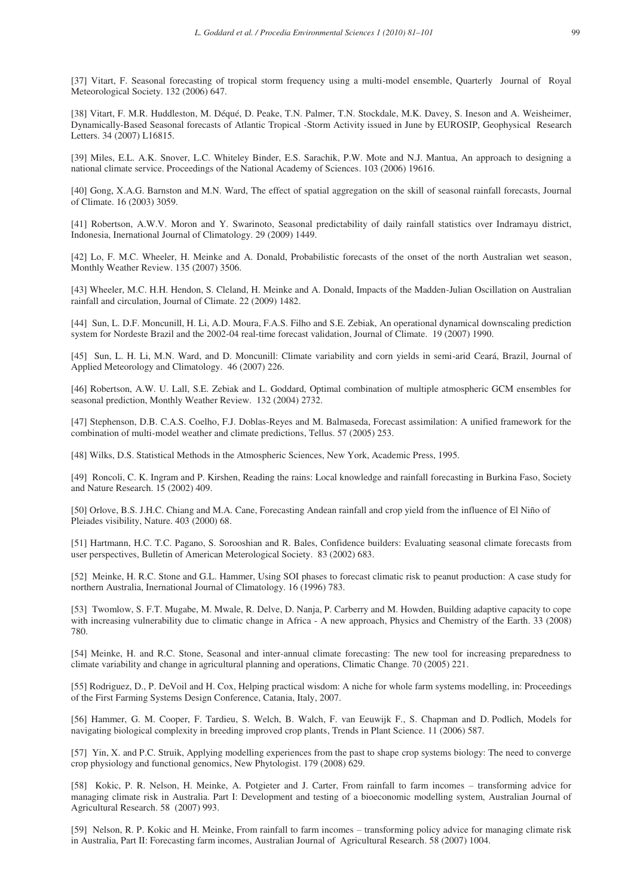[37] Vitart, F. Seasonal forecasting of tropical storm frequency using a multi-model ensemble, Quarterly Journal of Royal Meteorological Society. 132 (2006) 647.

[38] Vitart, F. M.R. Huddleston, M. Déqué, D. Peake, T.N. Palmer, T.N. Stockdale, M.K. Davey, S. Ineson and A. Weisheimer, Dynamically-Based Seasonal forecasts of Atlantic Tropical -Storm Activity issued in June by EUROSIP, Geophysical Research Letters. 34 (2007) L16815.

[39] Miles, E.L. A.K. Snover, L.C. Whiteley Binder, E.S. Sarachik, P.W. Mote and N.J. Mantua, An approach to designing a national climate service. Proceedings of the National Academy of Sciences. 103 (2006) 19616.

[40] Gong, X.A.G. Barnston and M.N. Ward, The effect of spatial aggregation on the skill of seasonal rainfall forecasts, Journal of Climate. 16 (2003) 3059.

[41] Robertson, A.W.V. Moron and Y. Swarinoto, Seasonal predictability of daily rainfall statistics over Indramayu district, Indonesia, Inernational Journal of Climatology. 29 (2009) 1449.

[42] Lo, F. M.C. Wheeler, H. Meinke and A. Donald, Probabilistic forecasts of the onset of the north Australian wet season, Monthly Weather Review. 135 (2007) 3506.

[43] Wheeler, M.C. H.H. Hendon, S. Cleland, H. Meinke and A. Donald, Impacts of the Madden-Julian Oscillation on Australian rainfall and circulation, Journal of Climate. 22 (2009) 1482.

[44] Sun, L. D.F. Moncunill, H. Li, A.D. Moura, F.A.S. Filho and S.E. Zebiak, An operational dynamical downscaling prediction system for Nordeste Brazil and the 2002-04 real-time forecast validation, Journal of Climate. 19 (2007) 1990.

[45] Sun, L. H. Li, M.N. Ward, and D. Moncunill: Climate variability and corn yields in semi-arid Ceará, Brazil, Journal of Applied Meteorology and Climatology. 46 (2007) 226.

[46] Robertson, A.W. U. Lall, S.E. Zebiak and L. Goddard, Optimal combination of multiple atmospheric GCM ensembles for seasonal prediction, Monthly Weather Review. 132 (2004) 2732.

[47] Stephenson, D.B. C.A.S. Coelho, F.J. Doblas-Reyes and M. Balmaseda, Forecast assimilation: A unified framework for the combination of multi-model weather and climate predictions, Tellus. 57 (2005) 253.

[48] Wilks, D.S. Statistical Methods in the Atmospheric Sciences, New York, Academic Press, 1995.

[49] Roncoli, C. K. Ingram and P. Kirshen, Reading the rains: Local knowledge and rainfall forecasting in Burkina Faso, Society and Nature Research. 15 (2002) 409.

[50] Orlove, B.S. J.H.C. Chiang and M.A. Cane, Forecasting Andean rainfall and crop yield from the influence of El Niño of Pleiades visibility, Nature. 403 (2000) 68.

[51] Hartmann, H.C. T.C. Pagano, S. Sorooshian and R. Bales, Confidence builders: Evaluating seasonal climate forecasts from user perspectives, Bulletin of American Meterological Society. 83 (2002) 683.

[52] Meinke, H. R.C. Stone and G.L. Hammer, Using SOI phases to forecast climatic risk to peanut production: A case study for northern Australia, Inernational Journal of Climatology. 16 (1996) 783.

[53] Twomlow, S. F.T. Mugabe, M. Mwale, R. Delve, D. Nanja, P. Carberry and M. Howden, Building adaptive capacity to cope with increasing vulnerability due to climatic change in Africa - A new approach, Physics and Chemistry of the Earth. 33 (2008) 780.

[54] Meinke, H. and R.C. Stone, Seasonal and inter-annual climate forecasting: The new tool for increasing preparedness to climate variability and change in agricultural planning and operations, Climatic Change. 70 (2005) 221.

[55] Rodriguez, D., P. DeVoil and H. Cox, Helping practical wisdom: A niche for whole farm systems modelling, in: Proceedings of the First Farming Systems Design Conference, Catania, Italy, 2007.

[56] Hammer, G. M. Cooper, F. Tardieu, S. Welch, B. Walch, F. van Eeuwijk F., S. Chapman and D. Podlich, Models for navigating biological complexity in breeding improved crop plants, Trends in Plant Science. 11 (2006) 587.

[57] Yin, X. and P.C. Struik, Applying modelling experiences from the past to shape crop systems biology: The need to converge crop physiology and functional genomics, New Phytologist. 179 (2008) 629.

[58] Kokic, P. R. Nelson, H. Meinke, A. Potgieter and J. Carter, From rainfall to farm incomes – transforming advice for managing climate risk in Australia. Part I: Development and testing of a bioeconomic modelling system, Australian Journal of Agricultural Research. 58 (2007) 993.

[59] Nelson, R. P. Kokic and H. Meinke, From rainfall to farm incomes – transforming policy advice for managing climate risk in Australia, Part II: Forecasting farm incomes, Australian Journal of Agricultural Research. 58 (2007) 1004.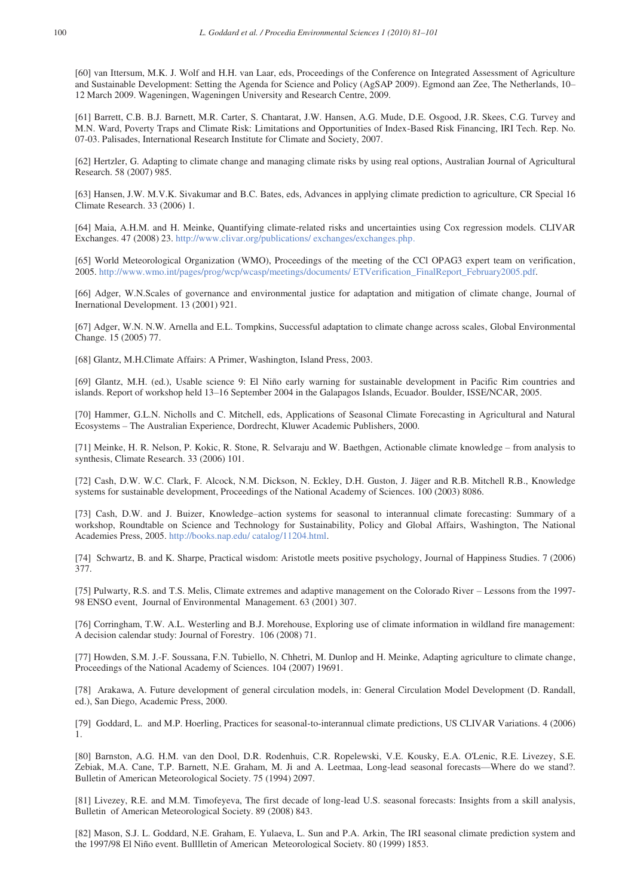[60] van Ittersum, M.K. J. Wolf and H.H. van Laar, eds, Proceedings of the Conference on Integrated Assessment of Agriculture and Sustainable Development: Setting the Agenda for Science and Policy (AgSAP 2009). Egmond aan Zee, The Netherlands, 10– 12 March 2009. Wageningen, Wageningen University and Research Centre, 2009.

[61] Barrett, C.B. B.J. Barnett, M.R. Carter, S. Chantarat, J.W. Hansen, A.G. Mude, D.E. Osgood, J.R. Skees, C.G. Turvey and M.N. Ward, Poverty Traps and Climate Risk: Limitations and Opportunities of Index-Based Risk Financing, IRI Tech. Rep. No. 07-03. Palisades, International Research Institute for Climate and Society, 2007.

[62] Hertzler, G. Adapting to climate change and managing climate risks by using real options, Australian Journal of Agricultural Research. 58 (2007) 985.

[63] Hansen, J.W. M.V.K. Sivakumar and B.C. Bates, eds, Advances in applying climate prediction to agriculture, CR Special 16 Climate Research. 33 (2006) 1.

[64] Maia, A.H.M. and H. Meinke, Quantifying climate-related risks and uncertainties using Cox regression models. CLIVAR Exchanges. 47 (2008) 23. http://www.clivar.org/publications/ exchanges/exchanges.php.

[65] World Meteorological Organization (WMO), Proceedings of the meeting of the CCl OPAG3 expert team on verification, 2005. http://www.wmo.int/pages/prog/wcp/wcasp/meetings/documents/ ETVerification\_FinalReport\_February2005.pdf.

[66] Adger, W.N.Scales of governance and environmental justice for adaptation and mitigation of climate change, Journal of Inernational Development. 13 (2001) 921.

[67] Adger, W.N. N.W. Arnella and E.L. Tompkins, Successful adaptation to climate change across scales, Global Environmental Change. 15 (2005) 77.

[68] Glantz, M.H.Climate Affairs: A Primer, Washington, Island Press, 2003.

[69] Glantz, M.H. (ed.), Usable science 9: El Niño early warning for sustainable development in Pacific Rim countries and islands. Report of workshop held 13–16 September 2004 in the Galapagos Islands, Ecuador. Boulder, ISSE/NCAR, 2005.

[70] Hammer, G.L.N. Nicholls and C. Mitchell, eds, Applications of Seasonal Climate Forecasting in Agricultural and Natural Ecosystems – The Australian Experience, Dordrecht, Kluwer Academic Publishers, 2000.

[71] Meinke, H. R. Nelson, P. Kokic, R. Stone, R. Selvaraju and W. Baethgen, Actionable climate knowledge – from analysis to synthesis, Climate Research. 33 (2006) 101.

[72] Cash, D.W. W.C. Clark, F. Alcock, N.M. Dickson, N. Eckley, D.H. Guston, J. Jäger and R.B. Mitchell R.B., Knowledge systems for sustainable development, Proceedings of the National Academy of Sciences. 100 (2003) 8086.

[73] Cash, D.W. and J. Buizer, Knowledge–action systems for seasonal to interannual climate forecasting: Summary of a workshop, Roundtable on Science and Technology for Sustainability, Policy and Global Affairs, Washington, The National Academies Press, 2005. http://books.nap.edu/ catalog/11204.html.

[74] Schwartz, B. and K. Sharpe, Practical wisdom: Aristotle meets positive psychology, Journal of Happiness Studies. 7 (2006) 377.

[75] Pulwarty, R.S. and T.S. Melis, Climate extremes and adaptive management on the Colorado River – Lessons from the 1997- 98 ENSO event, Journal of Environmental Management. 63 (2001) 307.

[76] Corringham, T.W. A.L. Westerling and B.J. Morehouse, Exploring use of climate information in wildland fire management: A decision calendar study: Journal of Forestry. 106 (2008) 71.

[77] Howden, S.M. J.-F. Soussana, F.N. Tubiello, N. Chhetri, M. Dunlop and H. Meinke, Adapting agriculture to climate change, Proceedings of the National Academy of Sciences. 104 (2007) 19691.

[78] Arakawa, A. Future development of general circulation models, in: General Circulation Model Development (D. Randall, ed.), San Diego, Academic Press, 2000.

[79] Goddard, L. and M.P. Hoerling, Practices for seasonal-to-interannual climate predictions, US CLIVAR Variations. 4 (2006) 1.

[80] Barnston, A.G. H.M. van den Dool, D.R. Rodenhuis, C.R. Ropelewski, V.E. Kousky, E.A. O'Lenic, R.E. Livezey, S.E. Zebiak, M.A. Cane, T.P. Barnett, N.E. Graham, M. Ji and A. Leetmaa, Long-lead seasonal forecasts—Where do we stand?. Bulletin of American Meteorological Society. 75 (1994) 2097.

[81] Livezey, R.E. and M.M. Timofeyeva, The first decade of long-lead U.S. seasonal forecasts: Insights from a skill analysis, Bulletin of American Meteorological Society. 89 (2008) 843.

[82] Mason, S.J. L. Goddard, N.E. Graham, E. Yulaeva, L. Sun and P.A. Arkin, The IRI seasonal climate prediction system and the 1997/98 El Niño event. Bulllletin of American Meteorological Society. 80 (1999) 1853.